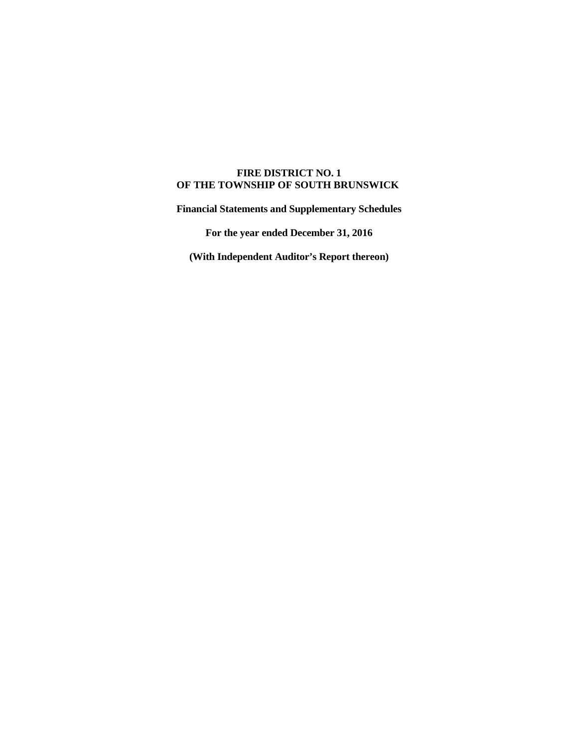# **FIRE DISTRICT NO. 1 OF THE TOWNSHIP OF SOUTH BRUNSWICK**

**Financial Statements and Supplementary Schedules** 

**For the year ended December 31, 2016** 

**(With Independent Auditor's Report thereon)**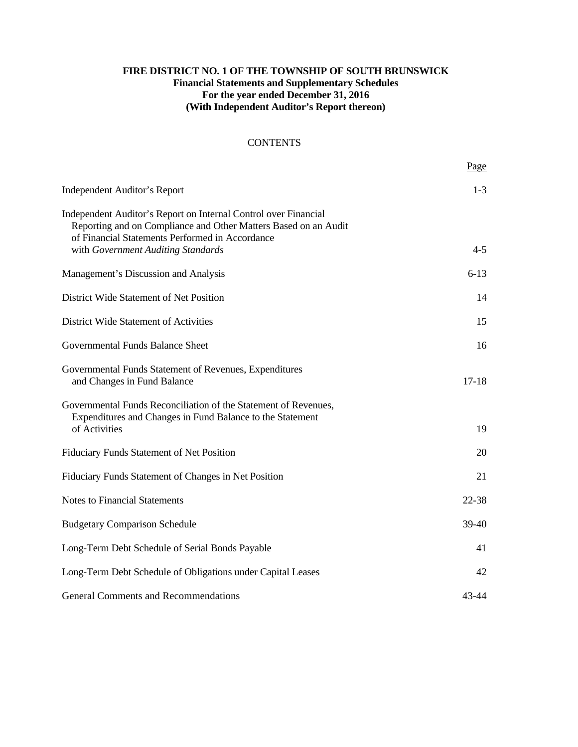# **FIRE DISTRICT NO. 1 OF THE TOWNSHIP OF SOUTH BRUNSWICK Financial Statements and Supplementary Schedules For the year ended December 31, 2016 (With Independent Auditor's Report thereon)**

# **CONTENTS**

|                                                                                                                                                                                       | Page    |
|---------------------------------------------------------------------------------------------------------------------------------------------------------------------------------------|---------|
| <b>Independent Auditor's Report</b>                                                                                                                                                   | $1 - 3$ |
| Independent Auditor's Report on Internal Control over Financial<br>Reporting and on Compliance and Other Matters Based on an Audit<br>of Financial Statements Performed in Accordance |         |
| with Government Auditing Standards                                                                                                                                                    | $4 - 5$ |
| Management's Discussion and Analysis                                                                                                                                                  | $6-13$  |
| District Wide Statement of Net Position                                                                                                                                               | 14      |
| District Wide Statement of Activities                                                                                                                                                 | 15      |
| Governmental Funds Balance Sheet                                                                                                                                                      | 16      |
| Governmental Funds Statement of Revenues, Expenditures<br>and Changes in Fund Balance                                                                                                 | $17-18$ |
| Governmental Funds Reconciliation of the Statement of Revenues,<br>Expenditures and Changes in Fund Balance to the Statement<br>of Activities                                         | 19      |
| Fiduciary Funds Statement of Net Position                                                                                                                                             | 20      |
| Fiduciary Funds Statement of Changes in Net Position                                                                                                                                  | 21      |
| <b>Notes to Financial Statements</b>                                                                                                                                                  | 22-38   |
| <b>Budgetary Comparison Schedule</b>                                                                                                                                                  | $39-40$ |
| Long-Term Debt Schedule of Serial Bonds Payable                                                                                                                                       | 41      |
| Long-Term Debt Schedule of Obligations under Capital Leases                                                                                                                           | 42      |
| <b>General Comments and Recommendations</b>                                                                                                                                           | 43-44   |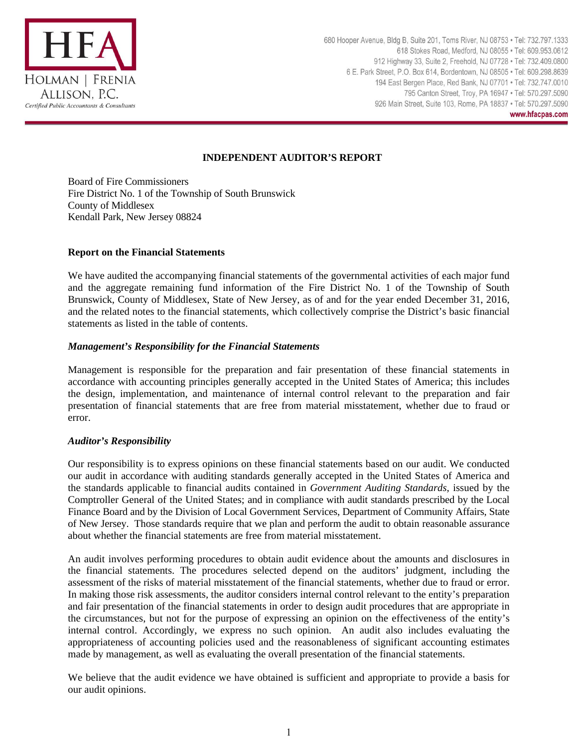

# **INDEPENDENT AUDITOR'S REPORT**

Board of Fire Commissioners Fire District No. 1 of the Township of South Brunswick County of Middlesex Kendall Park, New Jersey 08824

#### **Report on the Financial Statements**

We have audited the accompanying financial statements of the governmental activities of each major fund and the aggregate remaining fund information of the Fire District No. 1 of the Township of South Brunswick, County of Middlesex, State of New Jersey, as of and for the year ended December 31, 2016, and the related notes to the financial statements, which collectively comprise the District's basic financial statements as listed in the table of contents.

# *Management's Responsibility for the Financial Statements*

Management is responsible for the preparation and fair presentation of these financial statements in accordance with accounting principles generally accepted in the United States of America; this includes the design, implementation, and maintenance of internal control relevant to the preparation and fair presentation of financial statements that are free from material misstatement, whether due to fraud or error.

# *Auditor's Responsibility*

Our responsibility is to express opinions on these financial statements based on our audit. We conducted our audit in accordance with auditing standards generally accepted in the United States of America and the standards applicable to financial audits contained in *Government Auditing Standards,* issued by the Comptroller General of the United States; and in compliance with audit standards prescribed by the Local Finance Board and by the Division of Local Government Services, Department of Community Affairs, State of New Jersey. Those standards require that we plan and perform the audit to obtain reasonable assurance about whether the financial statements are free from material misstatement.

An audit involves performing procedures to obtain audit evidence about the amounts and disclosures in the financial statements. The procedures selected depend on the auditors' judgment, including the assessment of the risks of material misstatement of the financial statements, whether due to fraud or error. In making those risk assessments, the auditor considers internal control relevant to the entity's preparation and fair presentation of the financial statements in order to design audit procedures that are appropriate in the circumstances, but not for the purpose of expressing an opinion on the effectiveness of the entity's internal control. Accordingly, we express no such opinion. An audit also includes evaluating the appropriateness of accounting policies used and the reasonableness of significant accounting estimates made by management, as well as evaluating the overall presentation of the financial statements.

We believe that the audit evidence we have obtained is sufficient and appropriate to provide a basis for our audit opinions.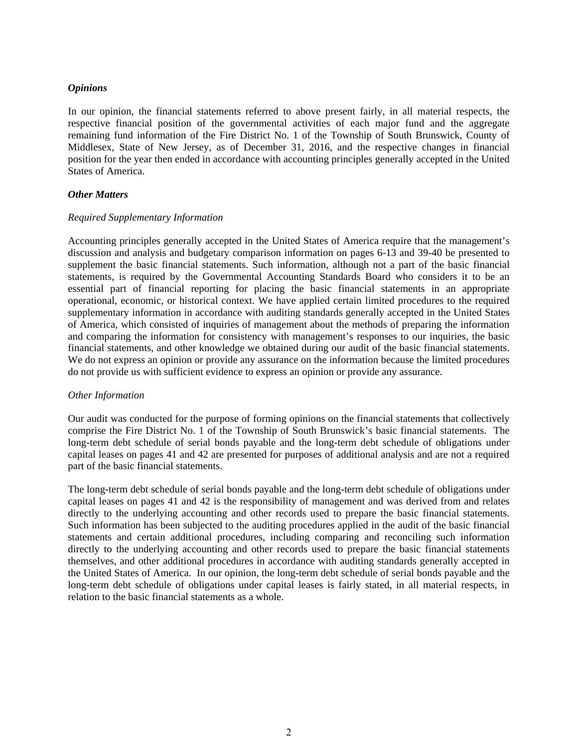#### *Opinions*

In our opinion, the financial statements referred to above present fairly, in all material respects, the respective financial position of the governmental activities of each major fund and the aggregate remaining fund information of the Fire District No. 1 of the Township of South Brunswick, County of Middlesex, State of New Jersey, as of December 31, 2016, and the respective changes in financial position for the year then ended in accordance with accounting principles generally accepted in the United States of America.

# *Other Matters*

# *Required Supplementary Information*

Accounting principles generally accepted in the United States of America require that the management's discussion and analysis and budgetary comparison information on pages 6-13 and 39-40 be presented to supplement the basic financial statements. Such information, although not a part of the basic financial statements, is required by the Governmental Accounting Standards Board who considers it to be an essential part of financial reporting for placing the basic financial statements in an appropriate operational, economic, or historical context. We have applied certain limited procedures to the required supplementary information in accordance with auditing standards generally accepted in the United States of America, which consisted of inquiries of management about the methods of preparing the information and comparing the information for consistency with management's responses to our inquiries, the basic financial statements, and other knowledge we obtained during our audit of the basic financial statements. We do not express an opinion or provide any assurance on the information because the limited procedures do not provide us with sufficient evidence to express an opinion or provide any assurance.

#### *Other Information*

Our audit was conducted for the purpose of forming opinions on the financial statements that collectively comprise the Fire District No. 1 of the Township of South Brunswick's basic financial statements. The long-term debt schedule of serial bonds payable and the long-term debt schedule of obligations under capital leases on pages 41 and 42 are presented for purposes of additional analysis and are not a required part of the basic financial statements.

The long-term debt schedule of serial bonds payable and the long-term debt schedule of obligations under capital leases on pages 41 and 42 is the responsibility of management and was derived from and relates directly to the underlying accounting and other records used to prepare the basic financial statements. Such information has been subjected to the auditing procedures applied in the audit of the basic financial statements and certain additional procedures, including comparing and reconciling such information directly to the underlying accounting and other records used to prepare the basic financial statements themselves, and other additional procedures in accordance with auditing standards generally accepted in the United States of America. In our opinion, the long-term debt schedule of serial bonds payable and the long-term debt schedule of obligations under capital leases is fairly stated, in all material respects, in relation to the basic financial statements as a whole.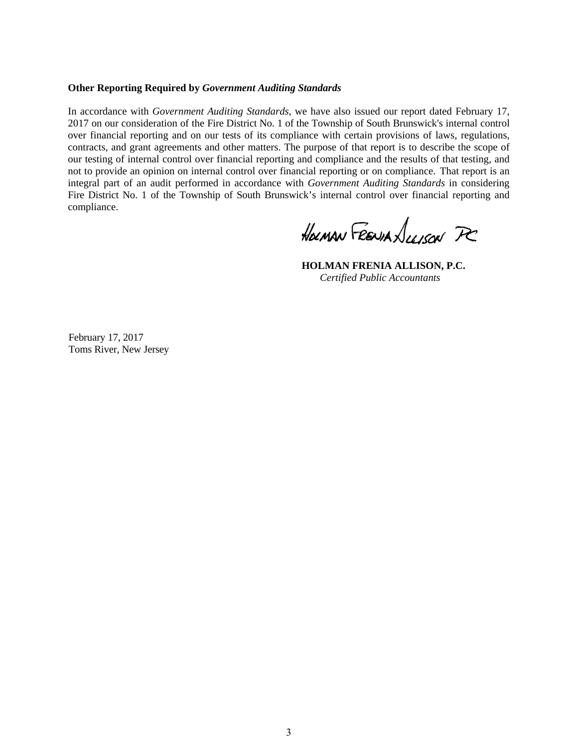#### **Other Reporting Required by** *Government Auditing Standards*

In accordance with *Government Auditing Standards*, we have also issued our report dated February 17, 2017 on our consideration of the Fire District No. 1 of the Township of South Brunswick's internal control over financial reporting and on our tests of its compliance with certain provisions of laws, regulations, contracts, and grant agreements and other matters. The purpose of that report is to describe the scope of our testing of internal control over financial reporting and compliance and the results of that testing, and not to provide an opinion on internal control over financial reporting or on compliance. That report is an integral part of an audit performed in accordance with *Government Auditing Standards* in considering Fire District No. 1 of the Township of South Brunswick's internal control over financial reporting and compliance.

HOLMAN FRENIAN LUISON PC

 **HOLMAN FRENIA ALLISON, P.C.**  *Certified Public Accountants* 

February 17, 2017 Toms River, New Jersey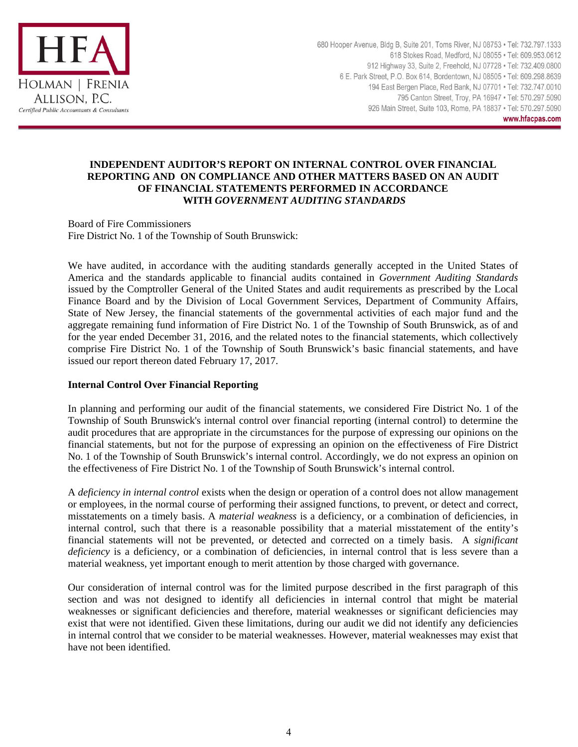

680 Hooper Avenue, Bldg B, Suite 201, Toms River, NJ 08753 · Tel: 732.797.1333 618 Stokes Road, Medford, NJ 08055 · Tel: 609.953.0612 912 Highway 33, Suite 2, Freehold, NJ 07728 · Tel: 732.409.0800 6 E. Park Street, P.O. Box 614, Bordentown, NJ 08505 · Tel: 609.298.8639 194 East Bergen Place, Red Bank, NJ 07701 · Tel: 732.747.0010 795 Canton Street, Troy, PA 16947 · Tel: 570.297.5090 926 Main Street, Suite 103, Rome, PA 18837 · Tel: 570.297.5090 www.hfacpas.com

# **INDEPENDENT AUDITOR'S REPORT ON INTERNAL CONTROL OVER FINANCIAL REPORTING AND ON COMPLIANCE AND OTHER MATTERS BASED ON AN AUDIT OF FINANCIAL STATEMENTS PERFORMED IN ACCORDANCE WITH** *GOVERNMENT AUDITING STANDARDS*

Board of Fire Commissioners Fire District No. 1 of the Township of South Brunswick:

We have audited, in accordance with the auditing standards generally accepted in the United States of America and the standards applicable to financial audits contained in *Government Auditing Standards*  issued by the Comptroller General of the United States and audit requirements as prescribed by the Local Finance Board and by the Division of Local Government Services, Department of Community Affairs, State of New Jersey, the financial statements of the governmental activities of each major fund and the aggregate remaining fund information of Fire District No. 1 of the Township of South Brunswick, as of and for the year ended December 31, 2016, and the related notes to the financial statements, which collectively comprise Fire District No. 1 of the Township of South Brunswick's basic financial statements, and have issued our report thereon dated February 17, 2017.

# **Internal Control Over Financial Reporting**

In planning and performing our audit of the financial statements, we considered Fire District No. 1 of the Township of South Brunswick's internal control over financial reporting (internal control) to determine the audit procedures that are appropriate in the circumstances for the purpose of expressing our opinions on the financial statements, but not for the purpose of expressing an opinion on the effectiveness of Fire District No. 1 of the Township of South Brunswick's internal control. Accordingly, we do not express an opinion on the effectiveness of Fire District No. 1 of the Township of South Brunswick's internal control.

A *deficiency in internal control* exists when the design or operation of a control does not allow management or employees, in the normal course of performing their assigned functions, to prevent, or detect and correct, misstatements on a timely basis. A *material weakness* is a deficiency, or a combination of deficiencies, in internal control, such that there is a reasonable possibility that a material misstatement of the entity's financial statements will not be prevented, or detected and corrected on a timely basis. A *significant deficiency* is a deficiency, or a combination of deficiencies, in internal control that is less severe than a material weakness, yet important enough to merit attention by those charged with governance.

Our consideration of internal control was for the limited purpose described in the first paragraph of this section and was not designed to identify all deficiencies in internal control that might be material weaknesses or significant deficiencies and therefore, material weaknesses or significant deficiencies may exist that were not identified. Given these limitations, during our audit we did not identify any deficiencies in internal control that we consider to be material weaknesses. However, material weaknesses may exist that have not been identified.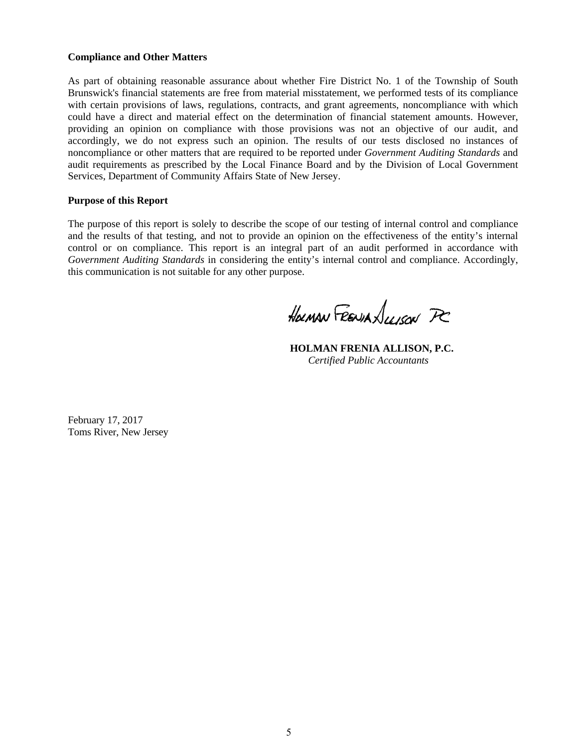### **Compliance and Other Matters**

As part of obtaining reasonable assurance about whether Fire District No. 1 of the Township of South Brunswick's financial statements are free from material misstatement, we performed tests of its compliance with certain provisions of laws, regulations, contracts, and grant agreements, noncompliance with which could have a direct and material effect on the determination of financial statement amounts. However, providing an opinion on compliance with those provisions was not an objective of our audit, and accordingly, we do not express such an opinion. The results of our tests disclosed no instances of noncompliance or other matters that are required to be reported under *Government Auditing Standards* and audit requirements as prescribed by the Local Finance Board and by the Division of Local Government Services, Department of Community Affairs State of New Jersey.

#### **Purpose of this Report**

The purpose of this report is solely to describe the scope of our testing of internal control and compliance and the results of that testing, and not to provide an opinion on the effectiveness of the entity's internal control or on compliance. This report is an integral part of an audit performed in accordance with *Government Auditing Standards* in considering the entity's internal control and compliance. Accordingly, this communication is not suitable for any other purpose.

HOLMAN FRENIA LIVION PC

 **HOLMAN FRENIA ALLISON, P.C.**  *Certified Public Accountants* 

February 17, 2017 Toms River, New Jersey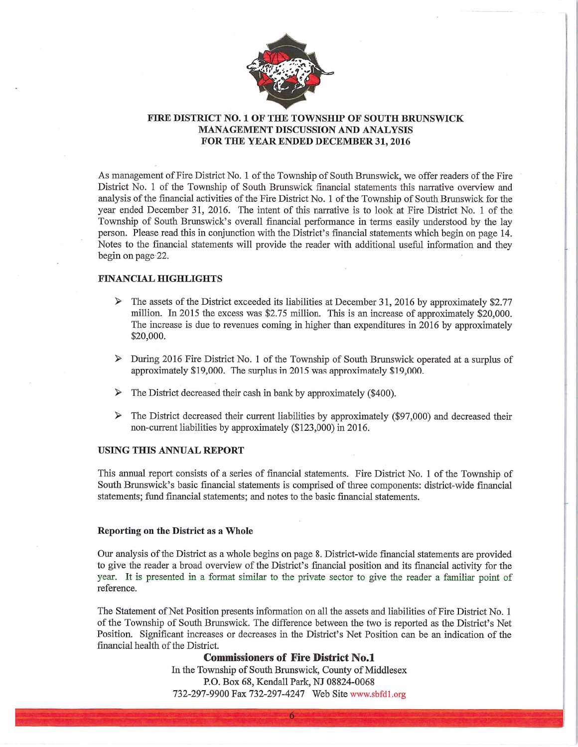

# FIRE DISTRICT NO. 1 OF THE TOWNSHIP OF SOUTH BRUNSWICK **MANAGEMENT DISCUSSION AND ANALYSIS** FOR THE YEAR ENDED DECEMBER 31, 2016

As management of Fire District No. 1 of the Township of South Brunswick, we offer readers of the Fire District No. 1 of the Township of South Brunswick financial statements this narrative overview and analysis of the financial activities of the Fire District No. 1 of the Township of South Brunswick for the year ended December 31, 2016. The intent of this narrative is to look at Fire District No. 1 of the Township of South Brunswick's overall financial performance in terms easily understood by the lay person. Please read this in conjunction with the District's financial statements which begin on page 14. Notes to the financial statements will provide the reader with additional useful information and they begin on page 22.

#### **FINANCIAL HIGHLIGHTS**

- $\triangleright$  The assets of the District exceeded its liabilities at December 31, 2016 by approximately \$2.77 million. In 2015 the excess was \$2.75 million. This is an increase of approximately \$20,000. The increase is due to revenues coming in higher than expenditures in 2016 by approximately \$20,000.
- $\triangleright$  During 2016 Fire District No. 1 of the Township of South Brunswick operated at a surplus of approximately \$19,000. The surplus in 2015 was approximately \$19,000.
- The District decreased their cash in bank by approximately (\$400).
- The District decreased their current liabilities by approximately (\$97,000) and decreased their  $\blacktriangleright$ non-current liabilities by approximately (\$123,000) in 2016.

#### **USING THIS ANNUAL REPORT**

This annual report consists of a series of financial statements. Fire District No. 1 of the Township of South Brunswick's basic financial statements is comprised of three components: district-wide financial statements; fund financial statements; and notes to the basic financial statements.

#### Reporting on the District as a Whole

Our analysis of the District as a whole begins on page 8. District-wide financial statements are provided to give the reader a broad overview of the District's financial position and its financial activity for the year. It is presented in a format similar to the private sector to give the reader a familiar point of reference.

The Statement of Net Position presents information on all the assets and liabilities of Fire District No. 1 of the Township of South Brunswick. The difference between the two is reported as the District's Net Position. Significant increases or decreases in the District's Net Position can be an indication of the financial health of the District.

#### **Commissioners of Fire District No.1**

In the Township of South Brunswick, County of Middlesex P.O. Box 68, Kendall Park, NJ 08824-0068 732-297-9900 Fax 732-297-4247 Web Site www.sbfd1.org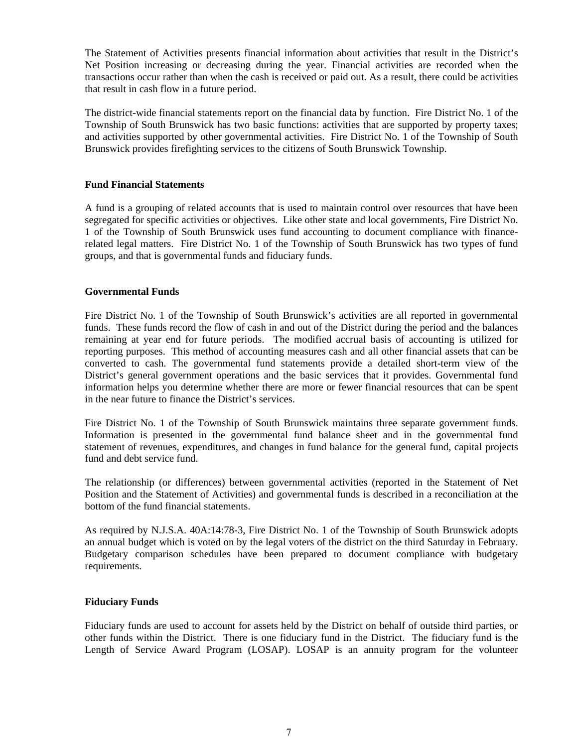The Statement of Activities presents financial information about activities that result in the District's Net Position increasing or decreasing during the year. Financial activities are recorded when the transactions occur rather than when the cash is received or paid out. As a result, there could be activities that result in cash flow in a future period.

The district-wide financial statements report on the financial data by function. Fire District No. 1 of the Township of South Brunswick has two basic functions: activities that are supported by property taxes; and activities supported by other governmental activities. Fire District No. 1 of the Township of South Brunswick provides firefighting services to the citizens of South Brunswick Township.

# **Fund Financial Statements**

A fund is a grouping of related accounts that is used to maintain control over resources that have been segregated for specific activities or objectives. Like other state and local governments, Fire District No. 1 of the Township of South Brunswick uses fund accounting to document compliance with financerelated legal matters. Fire District No. 1 of the Township of South Brunswick has two types of fund groups, and that is governmental funds and fiduciary funds.

# **Governmental Funds**

Fire District No. 1 of the Township of South Brunswick's activities are all reported in governmental funds. These funds record the flow of cash in and out of the District during the period and the balances remaining at year end for future periods. The modified accrual basis of accounting is utilized for reporting purposes. This method of accounting measures cash and all other financial assets that can be converted to cash. The governmental fund statements provide a detailed short-term view of the District's general government operations and the basic services that it provides. Governmental fund information helps you determine whether there are more or fewer financial resources that can be spent in the near future to finance the District's services.

Fire District No. 1 of the Township of South Brunswick maintains three separate government funds. Information is presented in the governmental fund balance sheet and in the governmental fund statement of revenues, expenditures, and changes in fund balance for the general fund, capital projects fund and debt service fund.

The relationship (or differences) between governmental activities (reported in the Statement of Net Position and the Statement of Activities) and governmental funds is described in a reconciliation at the bottom of the fund financial statements.

As required by N.J.S.A. 40A:14:78-3, Fire District No. 1 of the Township of South Brunswick adopts an annual budget which is voted on by the legal voters of the district on the third Saturday in February. Budgetary comparison schedules have been prepared to document compliance with budgetary requirements.

# **Fiduciary Funds**

Fiduciary funds are used to account for assets held by the District on behalf of outside third parties, or other funds within the District. There is one fiduciary fund in the District. The fiduciary fund is the Length of Service Award Program (LOSAP). LOSAP is an annuity program for the volunteer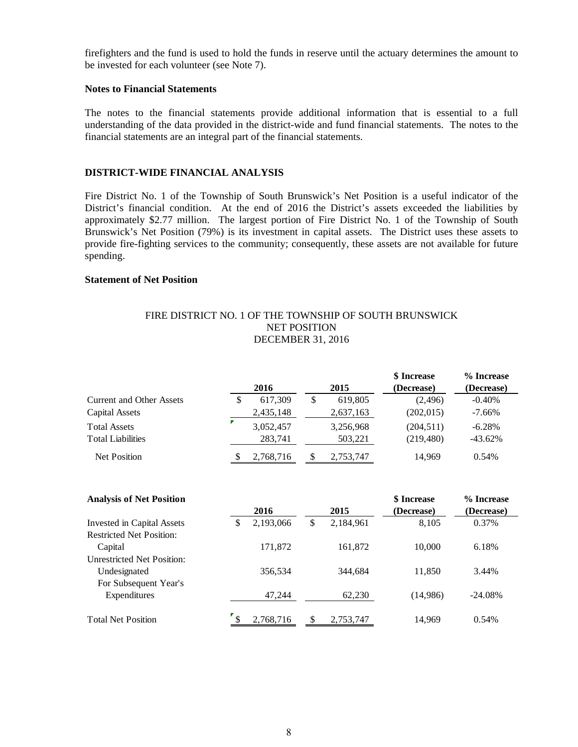firefighters and the fund is used to hold the funds in reserve until the actuary determines the amount to be invested for each volunteer (see Note 7).

#### **Notes to Financial Statements**

The notes to the financial statements provide additional information that is essential to a full understanding of the data provided in the district-wide and fund financial statements. The notes to the financial statements are an integral part of the financial statements.

# **DISTRICT-WIDE FINANCIAL ANALYSIS**

Fire District No. 1 of the Township of South Brunswick's Net Position is a useful indicator of the District's financial condition. At the end of 2016 the District's assets exceeded the liabilities by approximately \$2.77 million. The largest portion of Fire District No. 1 of the Township of South Brunswick's Net Position (79%) is its investment in capital assets. The District uses these assets to provide fire-fighting services to the community; consequently, these assets are not available for future spending.

# **Statement of Net Position**

# FIRE DISTRICT NO. 1 OF THE TOWNSHIP OF SOUTH BRUNSWICK NET POSITION DECEMBER 31, 2016

|                                 |               |   |           | \$ Increase | % Increase |
|---------------------------------|---------------|---|-----------|-------------|------------|
|                                 | 2016          |   | 2015      | (Decrease)  | (Decrease) |
| <b>Current and Other Assets</b> | \$<br>617.309 | S | 619,805   | (2, 496)    | $-0.40\%$  |
| Capital Assets                  | 2,435,148     |   | 2,637,163 | (202, 015)  | $-7.66\%$  |
| <b>Total Assets</b>             | 3,052,457     |   | 3,256,968 | (204, 511)  | $-6.28\%$  |
| <b>Total Liabilities</b>        | 283,741       |   | 503,221   | (219, 480)  | $-43.62%$  |
| <b>Net Position</b>             | 2,768,716     |   | 2,753,747 | 14.969      | 0.54%      |

| <b>Analysis of Net Position</b>   |    |           |                 | <b>\$</b> Increase | % Increase |
|-----------------------------------|----|-----------|-----------------|--------------------|------------|
|                                   |    | 2016      | 2015            | (Decrease)         | (Decrease) |
| Invested in Capital Assets        | \$ | 2,193,066 | \$<br>2,184,961 | 8,105              | 0.37%      |
| <b>Restricted Net Position:</b>   |    |           |                 |                    |            |
| Capital                           |    | 171.872   | 161,872         | 10.000             | 6.18%      |
| <b>Unrestricted Net Position:</b> |    |           |                 |                    |            |
| Undesignated                      |    | 356,534   | 344,684         | 11,850             | 3.44%      |
| For Subsequent Year's             |    |           |                 |                    |            |
| Expenditures                      |    | 47,244    | 62,230          | (14,986)           | $-24.08%$  |
| <b>Total Net Position</b>         |    | 2,768,716 | 2,753,747       | 14.969             | 0.54%      |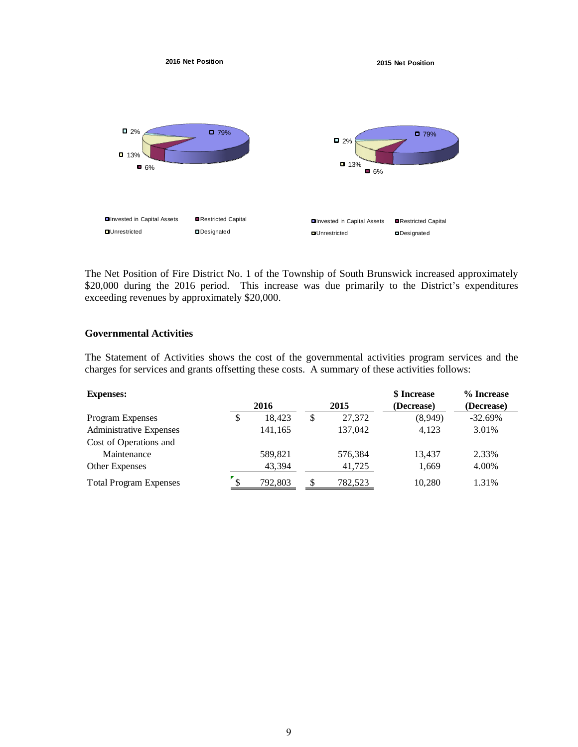

The Net Position of Fire District No. 1 of the Township of South Brunswick increased approximately \$20,000 during the 2016 period. This increase was due primarily to the District's expenditures exceeding revenues by approximately \$20,000.

# **Governmental Activities**

The Statement of Activities shows the cost of the governmental activities program services and the charges for services and grants offsetting these costs. A summary of these activities follows:

| <b>Expenses:</b>               |               |              | \$ Increase | % Increase |
|--------------------------------|---------------|--------------|-------------|------------|
|                                | 2016          | 2015         | (Decrease)  | (Decrease) |
| <b>Program Expenses</b>        | \$<br>18.423  | \$<br>27,372 | (8.949)     | $-32.69%$  |
| <b>Administrative Expenses</b> | 141,165       | 137,042      | 4.123       | 3.01%      |
| Cost of Operations and         |               |              |             |            |
| Maintenance                    | 589,821       | 576,384      | 13.437      | 2.33%      |
| <b>Other Expenses</b>          | 43,394        | 41,725       | 1,669       | 4.00%      |
| <b>Total Program Expenses</b>  | \$<br>792,803 | 782,523      | 10.280      | 1.31%      |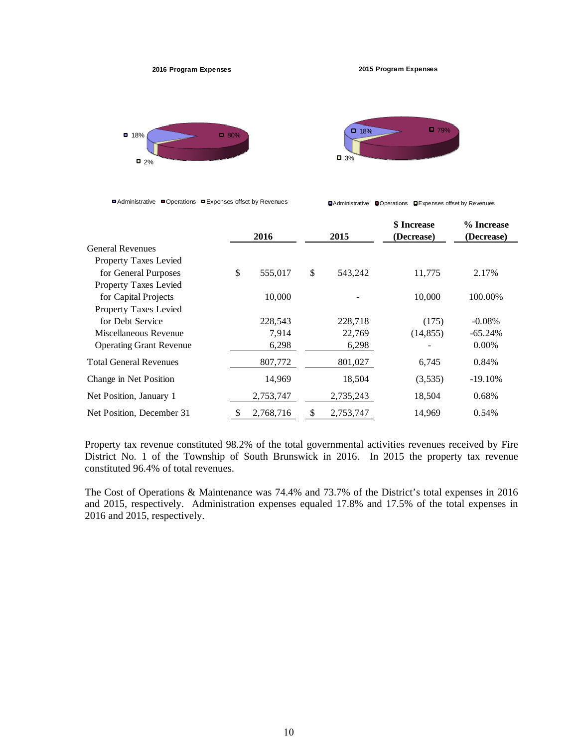

**2015 Program Expenses**





■ Administrative ■ Operations ■ Expenses offset by Revenues

Administrative Operations Expenses offset by Revenues

|                                | 2016 |           | 2015 | <b>\$</b> Increase<br>(Decrease) | % Increase<br>(Decrease) |            |
|--------------------------------|------|-----------|------|----------------------------------|--------------------------|------------|
| <b>General Revenues</b>        |      |           |      |                                  |                          |            |
| <b>Property Taxes Levied</b>   |      |           |      |                                  |                          |            |
| for General Purposes           | \$   | 555,017   | \$   | 543,242                          | 11,775                   | 2.17%      |
| Property Taxes Levied          |      |           |      |                                  |                          |            |
| for Capital Projects           |      | 10,000    |      |                                  | 10,000                   | 100.00%    |
| Property Taxes Levied          |      |           |      |                                  |                          |            |
| for Debt Service               |      | 228,543   |      | 228,718                          | (175)                    | $-0.08%$   |
| Miscellaneous Revenue          |      | 7,914     |      | 22,769                           | (14, 855)                | $-65.24%$  |
| <b>Operating Grant Revenue</b> |      | 6,298     |      | 6,298                            |                          | $0.00\%$   |
| <b>Total General Revenues</b>  |      | 807,772   |      | 801,027                          | 6,745                    | 0.84%      |
| Change in Net Position         |      | 14,969    |      | 18,504                           | (3,535)                  | $-19.10\%$ |
| Net Position, January 1        |      | 2,753,747 |      | 2,735,243                        | 18,504                   | 0.68%      |
| Net Position, December 31      | \$   | 2,768,716 | S    | 2,753,747                        | 14,969                   | 0.54%      |

Property tax revenue constituted 98.2% of the total governmental activities revenues received by Fire District No. 1 of the Township of South Brunswick in 2016. In 2015 the property tax revenue constituted 96.4% of total revenues.

The Cost of Operations & Maintenance was 74.4% and 73.7% of the District's total expenses in 2016 and 2015, respectively. Administration expenses equaled 17.8% and 17.5% of the total expenses in 2016 and 2015, respectively.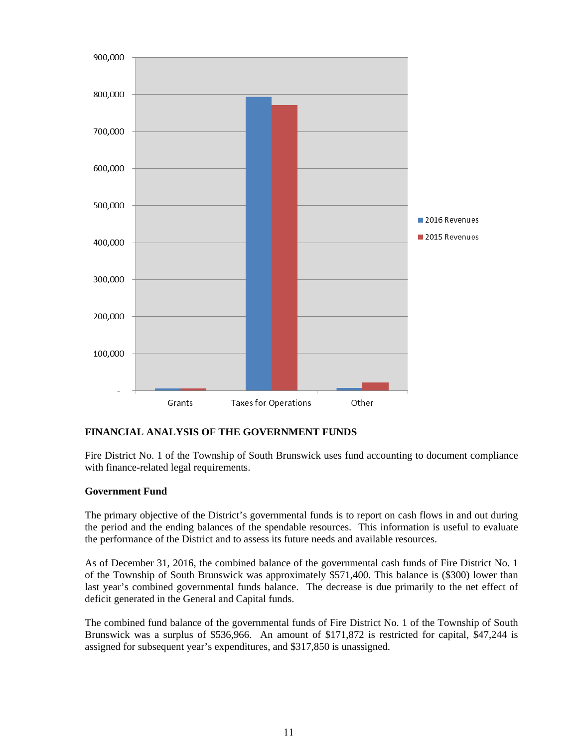

# **FINANCIAL ANALYSIS OF THE GOVERNMENT FUNDS**

Fire District No. 1 of the Township of South Brunswick uses fund accounting to document compliance with finance-related legal requirements.

# **Government Fund**

The primary objective of the District's governmental funds is to report on cash flows in and out during the period and the ending balances of the spendable resources. This information is useful to evaluate the performance of the District and to assess its future needs and available resources.

As of December 31, 2016, the combined balance of the governmental cash funds of Fire District No. 1 of the Township of South Brunswick was approximately \$571,400. This balance is (\$300) lower than last year's combined governmental funds balance. The decrease is due primarily to the net effect of deficit generated in the General and Capital funds.

The combined fund balance of the governmental funds of Fire District No. 1 of the Township of South Brunswick was a surplus of \$536,966. An amount of \$171,872 is restricted for capital, \$47,244 is assigned for subsequent year's expenditures, and \$317,850 is unassigned.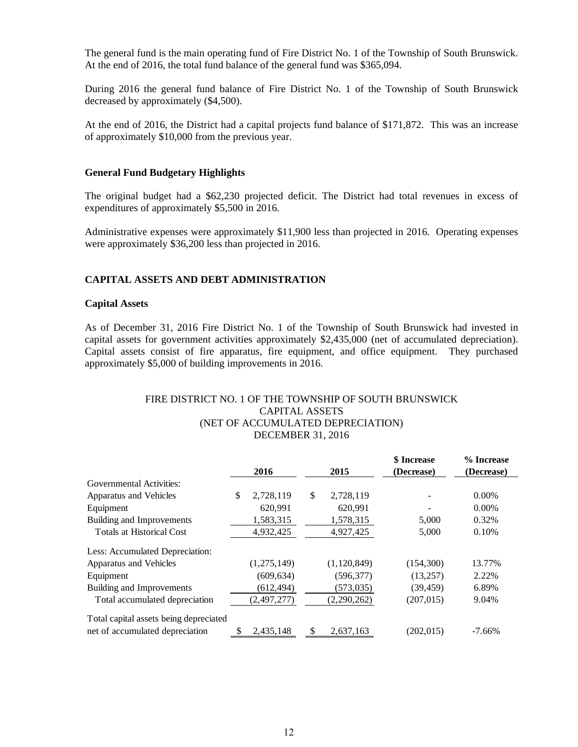The general fund is the main operating fund of Fire District No. 1 of the Township of South Brunswick. At the end of 2016, the total fund balance of the general fund was \$365,094.

During 2016 the general fund balance of Fire District No. 1 of the Township of South Brunswick decreased by approximately (\$4,500).

At the end of 2016, the District had a capital projects fund balance of \$171,872. This was an increase of approximately \$10,000 from the previous year.

#### **General Fund Budgetary Highlights**

The original budget had a \$62,230 projected deficit. The District had total revenues in excess of expenditures of approximately \$5,500 in 2016.

Administrative expenses were approximately \$11,900 less than projected in 2016. Operating expenses were approximately \$36,200 less than projected in 2016.

# **CAPITAL ASSETS AND DEBT ADMINISTRATION**

#### **Capital Assets**

As of December 31, 2016 Fire District No. 1 of the Township of South Brunswick had invested in capital assets for government activities approximately \$2,435,000 (net of accumulated depreciation). Capital assets consist of fire apparatus, fire equipment, and office equipment. They purchased approximately \$5,000 of building improvements in 2016.

# FIRE DISTRICT NO. 1 OF THE TOWNSHIP OF SOUTH BRUNSWICK CAPITAL ASSETS (NET OF ACCUMULATED DEPRECIATION) DECEMBER 31, 2016

|                                        |                 |              |               | \$ Increase | % Increase |
|----------------------------------------|-----------------|--------------|---------------|-------------|------------|
|                                        | 2016            | 2015         |               | (Decrease)  | (Decrease) |
| Governmental Activities:               |                 |              |               |             |            |
| Apparatus and Vehicles                 | \$<br>2,728,119 | $\mathbb{S}$ | 2,728,119     |             | $0.00\%$   |
| Equipment                              | 620,991         |              | 620,991       |             | $0.00\%$   |
| <b>Building and Improvements</b>       | 1,583,315       |              | 1,578,315     | 5,000       | 0.32%      |
| <b>Totals at Historical Cost</b>       | 4,932,425       |              | 4,927,425     | 5,000       | 0.10%      |
| Less: Accumulated Depreciation:        |                 |              |               |             |            |
| Apparatus and Vehicles                 | (1,275,149)     |              | (1, 120, 849) | (154, 300)  | 13.77%     |
| Equipment                              | (609, 634)      |              | (596, 377)    | (13,257)    | 2.22%      |
| <b>Building and Improvements</b>       | (612, 494)      |              | (573, 035)    | (39, 459)   | 6.89%      |
| Total accumulated depreciation         | (2, 497, 277)   |              | (2, 290, 262) | (207, 015)  | 9.04%      |
| Total capital assets being depreciated |                 |              |               |             |            |
| net of accumulated depreciation        | \$<br>2,435,148 | S            | 2,637,163     | (202, 015)  | $-7.66\%$  |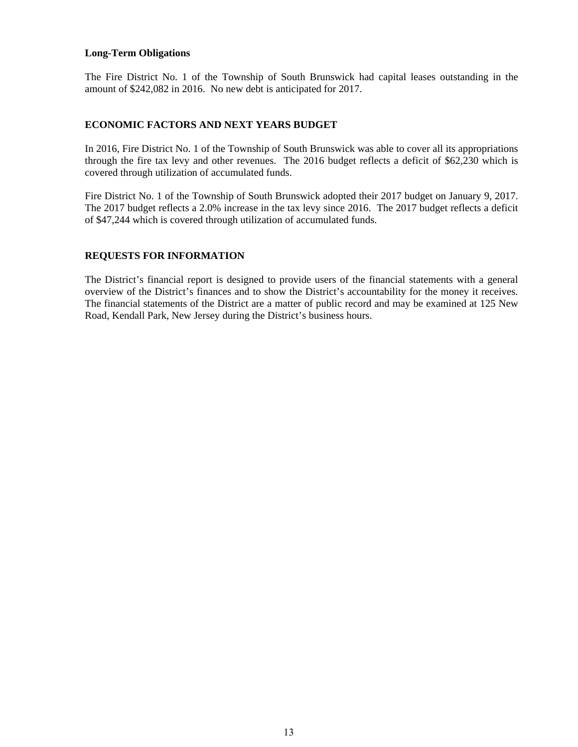#### **Long-Term Obligations**

The Fire District No. 1 of the Township of South Brunswick had capital leases outstanding in the amount of \$242,082 in 2016. No new debt is anticipated for 2017.

# **ECONOMIC FACTORS AND NEXT YEARS BUDGET**

In 2016, Fire District No. 1 of the Township of South Brunswick was able to cover all its appropriations through the fire tax levy and other revenues. The 2016 budget reflects a deficit of \$62,230 which is covered through utilization of accumulated funds.

Fire District No. 1 of the Township of South Brunswick adopted their 2017 budget on January 9, 2017. The 2017 budget reflects a 2.0% increase in the tax levy since 2016. The 2017 budget reflects a deficit of \$47,244 which is covered through utilization of accumulated funds.

# **REQUESTS FOR INFORMATION**

The District's financial report is designed to provide users of the financial statements with a general overview of the District's finances and to show the District's accountability for the money it receives. The financial statements of the District are a matter of public record and may be examined at 125 New Road, Kendall Park, New Jersey during the District's business hours.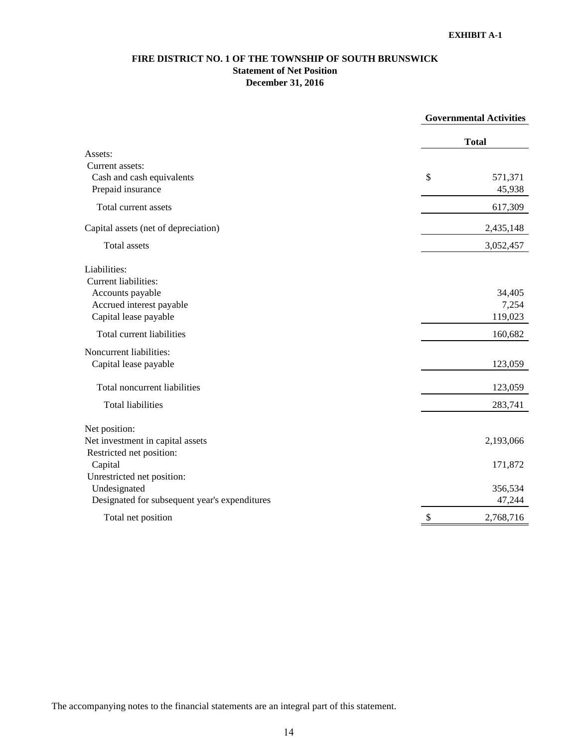# **FIRE DISTRICT NO. 1 OF THE TOWNSHIP OF SOUTH BRUNSWICK Statement of Net Position December 31, 2016**

|                                               | <b>Governmental Activities</b> |           |
|-----------------------------------------------|--------------------------------|-----------|
|                                               | <b>Total</b>                   |           |
| Assets:                                       |                                |           |
| Current assets:                               |                                |           |
| Cash and cash equivalents                     | \$                             | 571,371   |
| Prepaid insurance                             |                                | 45,938    |
| Total current assets                          |                                | 617,309   |
| Capital assets (net of depreciation)          |                                | 2,435,148 |
| Total assets                                  |                                | 3,052,457 |
| Liabilities:                                  |                                |           |
| Current liabilities:                          |                                |           |
| Accounts payable                              |                                | 34,405    |
| Accrued interest payable                      |                                | 7,254     |
| Capital lease payable                         |                                | 119,023   |
| Total current liabilities                     |                                | 160,682   |
| Noncurrent liabilities:                       |                                |           |
| Capital lease payable                         |                                | 123,059   |
| Total noncurrent liabilities                  |                                | 123,059   |
| <b>Total liabilities</b>                      |                                | 283,741   |
| Net position:                                 |                                |           |
| Net investment in capital assets              |                                | 2,193,066 |
| Restricted net position:                      |                                |           |
| Capital                                       |                                | 171,872   |
| Unrestricted net position:                    |                                |           |
| Undesignated                                  |                                | 356,534   |
| Designated for subsequent year's expenditures |                                | 47,244    |
| Total net position                            | $\boldsymbol{\mathsf{S}}$      | 2,768,716 |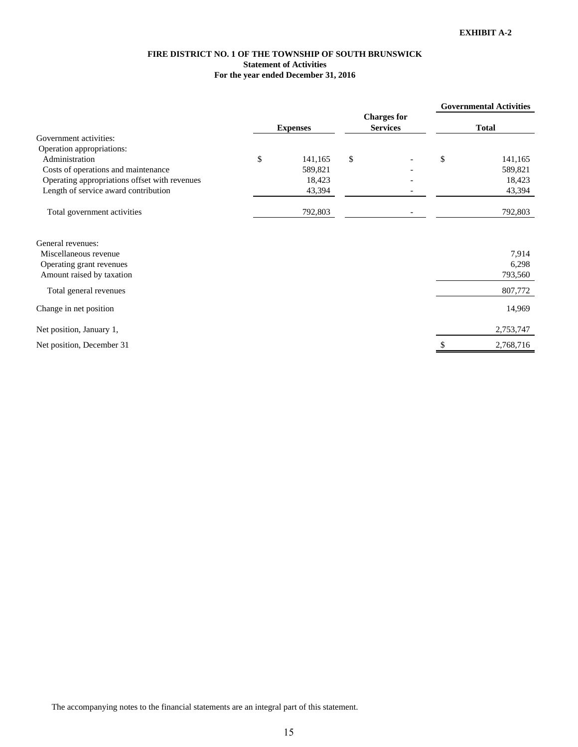#### **FIRE DISTRICT NO. 1 OF THE TOWNSHIP OF SOUTH BRUNSWICK Statement of Activities For the year ended December 31, 2016**

|                                               |                 |                                       | <b>Governmental Activities</b> |
|-----------------------------------------------|-----------------|---------------------------------------|--------------------------------|
|                                               | <b>Expenses</b> | <b>Charges for</b><br><b>Services</b> | <b>Total</b>                   |
| Government activities:                        |                 |                                       |                                |
| Operation appropriations:                     |                 |                                       |                                |
| Administration                                | \$<br>141,165   | \$                                    | \$<br>141,165                  |
| Costs of operations and maintenance           | 589,821         |                                       | 589,821                        |
| Operating appropriations offset with revenues | 18,423          |                                       | 18,423                         |
| Length of service award contribution          | 43,394          |                                       | 43,394                         |
| Total government activities                   | 792,803         |                                       | 792,803                        |
|                                               |                 |                                       |                                |

| General revenues:         |           |
|---------------------------|-----------|
| Miscellaneous revenue     | 7,914     |
| Operating grant revenues  | 6,298     |
| Amount raised by taxation | 793,560   |
| Total general revenues    | 807,772   |
| Change in net position    | 14,969    |
| Net position, January 1,  | 2,753,747 |
| Net position, December 31 | 2,768,716 |
|                           |           |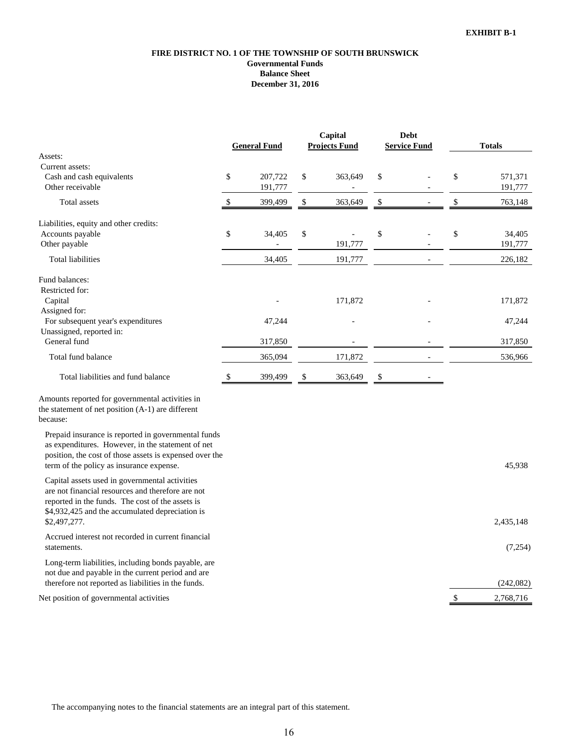#### **FIRE DISTRICT NO. 1 OF THE TOWNSHIP OF SOUTH BRUNSWICK Governmental Funds Balance Sheet December 31, 2016**

|                                                                                                                                                                                                                 |      | <b>General Fund</b> |    | Capital<br><b>Projects Fund</b> |    | Debt<br><b>Service Fund</b> | <b>Totals</b> |           |  |
|-----------------------------------------------------------------------------------------------------------------------------------------------------------------------------------------------------------------|------|---------------------|----|---------------------------------|----|-----------------------------|---------------|-----------|--|
| Assets:                                                                                                                                                                                                         |      |                     |    |                                 |    |                             |               |           |  |
| Current assets:                                                                                                                                                                                                 |      |                     |    |                                 |    |                             |               |           |  |
| Cash and cash equivalents                                                                                                                                                                                       | \$   | 207,722             | \$ | 363,649                         | \$ |                             | \$            | 571,371   |  |
| Other receivable                                                                                                                                                                                                |      | 191,777             |    |                                 |    |                             |               | 191,777   |  |
| Total assets                                                                                                                                                                                                    | \$   | 399,499             | \$ | 363,649                         | \$ |                             | \$            | 763,148   |  |
| Liabilities, equity and other credits:                                                                                                                                                                          |      |                     |    |                                 |    |                             |               |           |  |
| Accounts payable                                                                                                                                                                                                | $\$$ | 34,405              | \$ |                                 | \$ |                             | \$            | 34,405    |  |
| Other payable                                                                                                                                                                                                   |      |                     |    | 191,777                         |    |                             |               | 191,777   |  |
| Total liabilities                                                                                                                                                                                               |      | 34,405              |    | 191,777                         |    |                             |               | 226,182   |  |
| Fund balances:                                                                                                                                                                                                  |      |                     |    |                                 |    |                             |               |           |  |
| Restricted for:                                                                                                                                                                                                 |      |                     |    |                                 |    |                             |               |           |  |
| Capital                                                                                                                                                                                                         |      |                     |    | 171,872                         |    |                             |               | 171,872   |  |
| Assigned for:                                                                                                                                                                                                   |      |                     |    |                                 |    |                             |               |           |  |
| For subsequent year's expenditures                                                                                                                                                                              |      | 47,244              |    |                                 |    |                             |               | 47,244    |  |
| Unassigned, reported in:                                                                                                                                                                                        |      |                     |    |                                 |    |                             |               |           |  |
| General fund                                                                                                                                                                                                    |      | 317,850             |    |                                 |    |                             |               | 317,850   |  |
| Total fund balance                                                                                                                                                                                              |      | 365,094             |    | 171,872                         |    |                             |               | 536,966   |  |
| Total liabilities and fund balance                                                                                                                                                                              | \$   | 399,499             | \$ | 363,649                         | \$ |                             |               |           |  |
| Amounts reported for governmental activities in<br>the statement of net position (A-1) are different<br>because:                                                                                                |      |                     |    |                                 |    |                             |               |           |  |
| Prepaid insurance is reported in governmental funds<br>as expenditures. However, in the statement of net<br>position, the cost of those assets is expensed over the<br>term of the policy as insurance expense. |      |                     |    |                                 |    |                             |               | 45,938    |  |
| Capital assets used in governmental activities<br>are not financial resources and therefore are not<br>reported in the funds. The cost of the assets is<br>\$4,932,425 and the accumulated depreciation is      |      |                     |    |                                 |    |                             |               |           |  |
| \$2,497,277.                                                                                                                                                                                                    |      |                     |    |                                 |    |                             |               | 2,435,148 |  |
| Accrued interest not recorded in current financial<br>statements.                                                                                                                                               |      |                     |    |                                 |    |                             |               | (7,254)   |  |
| Long-term liabilities, including bonds payable, are<br>not due and payable in the current period and are<br>therefore not reported as liabilities in the funds.                                                 |      |                     |    |                                 |    |                             |               | (242,082) |  |
|                                                                                                                                                                                                                 |      |                     |    |                                 |    |                             |               |           |  |
| Net position of governmental activities                                                                                                                                                                         |      |                     |    |                                 |    |                             | \$            | 2,768,716 |  |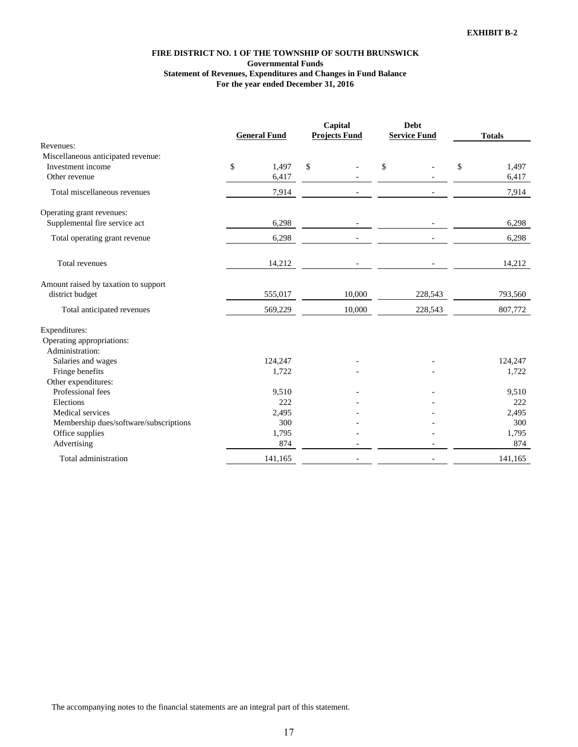#### **FIRE DISTRICT NO. 1 OF THE TOWNSHIP OF SOUTH BRUNSWICK Governmental Funds Statement of Revenues, Expenditures and Changes in Fund Balance For the year ended December 31, 2016**

|                                        |                     |         | Capital                  |    | <b>Debt</b>              |    |               |  |
|----------------------------------------|---------------------|---------|--------------------------|----|--------------------------|----|---------------|--|
|                                        | <b>General Fund</b> |         | <b>Projects Fund</b>     |    | <b>Service Fund</b>      |    | <b>Totals</b> |  |
| Revenues:                              |                     |         |                          |    |                          |    |               |  |
| Miscellaneous anticipated revenue:     |                     |         |                          |    |                          |    |               |  |
| Investment income                      | \$                  | 1,497   | \$                       | \$ |                          | \$ | 1,497         |  |
| Other revenue                          |                     | 6,417   |                          |    |                          |    | 6,417         |  |
| Total miscellaneous revenues           |                     | 7,914   |                          |    |                          |    | 7,914         |  |
| Operating grant revenues:              |                     |         |                          |    |                          |    |               |  |
| Supplemental fire service act          |                     | 6,298   |                          |    |                          |    | 6,298         |  |
| Total operating grant revenue          |                     | 6,298   |                          |    |                          |    | 6,298         |  |
| Total revenues                         |                     | 14,212  |                          |    |                          |    | 14,212        |  |
| Amount raised by taxation to support   |                     |         |                          |    |                          |    |               |  |
| district budget                        |                     | 555,017 | 10,000                   |    | 228,543                  |    | 793,560       |  |
| Total anticipated revenues             |                     | 569,229 | 10,000                   |    | 228,543                  |    | 807,772       |  |
| Expenditures:                          |                     |         |                          |    |                          |    |               |  |
| Operating appropriations:              |                     |         |                          |    |                          |    |               |  |
| Administration:                        |                     |         |                          |    |                          |    |               |  |
| Salaries and wages                     |                     | 124,247 |                          |    |                          |    | 124,247       |  |
| Fringe benefits                        |                     | 1,722   |                          |    |                          |    | 1,722         |  |
| Other expenditures:                    |                     |         |                          |    |                          |    |               |  |
| Professional fees                      |                     | 9,510   |                          |    |                          |    | 9,510         |  |
| Elections                              |                     | 222     |                          |    |                          |    | 222           |  |
| Medical services                       |                     | 2,495   |                          |    |                          |    | 2,495         |  |
| Membership dues/software/subscriptions |                     | 300     |                          |    |                          |    | 300           |  |
| Office supplies                        |                     | 1,795   |                          |    |                          |    | 1,795         |  |
| Advertising                            |                     | 874     |                          |    |                          |    | 874           |  |
| Total administration                   |                     | 141,165 | $\overline{\phantom{a}}$ |    | $\overline{\phantom{a}}$ |    | 141,165       |  |

The accompanying notes to the financial statements are an integral part of this statement.

17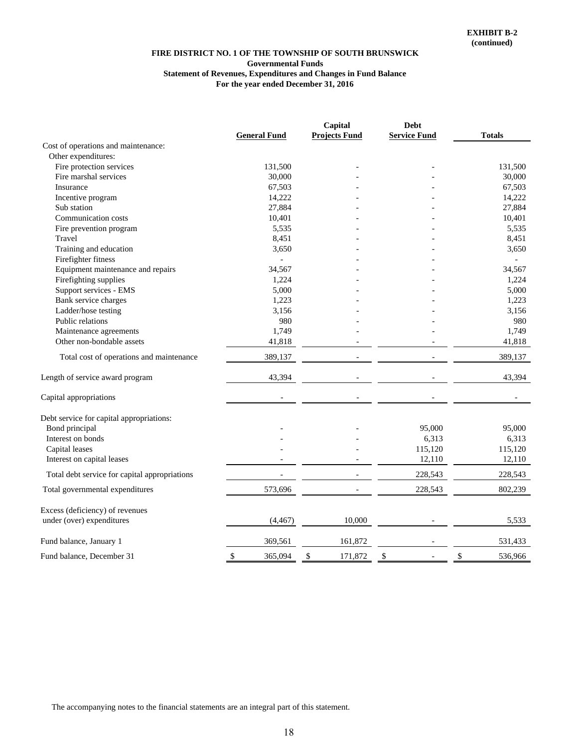#### **FIRE DISTRICT NO. 1 OF THE TOWNSHIP OF SOUTH BRUNSWICK Governmental Funds Statement of Revenues, Expenditures and Changes in Fund Balance For the year ended December 31, 2016**

|                                               |                          | Capital              | <b>Debt</b>         |               |
|-----------------------------------------------|--------------------------|----------------------|---------------------|---------------|
|                                               | <b>General Fund</b>      | <b>Projects Fund</b> | <b>Service Fund</b> | <b>Totals</b> |
| Cost of operations and maintenance:           |                          |                      |                     |               |
| Other expenditures:                           |                          |                      |                     |               |
| Fire protection services                      | 131,500                  |                      |                     | 131,500       |
| Fire marshal services                         | 30,000                   |                      |                     | 30,000        |
| Insurance                                     | 67,503                   |                      |                     | 67,503        |
| Incentive program                             | 14,222                   |                      |                     | 14,222        |
| Sub station                                   | 27,884                   |                      |                     | 27,884        |
| Communication costs                           | 10,401                   |                      |                     | 10,401        |
| Fire prevention program                       | 5,535                    |                      |                     | 5,535         |
| Travel                                        | 8,451                    |                      |                     | 8,451         |
| Training and education                        | 3,650                    |                      |                     | 3,650         |
| Firefighter fitness                           |                          |                      |                     |               |
| Equipment maintenance and repairs             | 34,567                   |                      |                     | 34,567        |
| Firefighting supplies                         | 1,224                    |                      |                     | 1,224         |
| Support services - EMS                        | 5,000                    |                      |                     | 5,000         |
| Bank service charges                          | 1,223                    |                      |                     | 1,223         |
| Ladder/hose testing                           | 3,156                    |                      |                     | 3,156         |
| Public relations                              | 980                      |                      |                     | 980           |
| Maintenance agreements                        | 1,749                    |                      |                     | 1,749         |
| Other non-bondable assets                     | 41,818                   |                      |                     | 41,818        |
| Total cost of operations and maintenance      | 389,137                  |                      |                     | 389,137       |
| Length of service award program               | 43,394                   |                      |                     | 43,394        |
| Capital appropriations                        | $\overline{\phantom{a}}$ |                      |                     |               |
| Debt service for capital appropriations:      |                          |                      |                     |               |
| Bond principal                                |                          |                      | 95,000              | 95,000        |
| Interest on bonds                             |                          |                      | 6,313               | 6,313         |
| Capital leases                                |                          |                      | 115,120             | 115,120       |
| Interest on capital leases                    |                          |                      | 12,110              | 12,110        |
| Total debt service for capital appropriations |                          |                      | 228,543             | 228,543       |
| Total governmental expenditures               | 573,696                  |                      | 228,543             | 802,239       |
| Excess (deficiency) of revenues               |                          |                      |                     |               |
| under (over) expenditures                     | (4, 467)                 | 10,000               |                     | 5,533         |
| Fund balance, January 1                       | 369,561                  | 161,872              |                     | 531,433       |
| Fund balance, December 31                     | \$<br>365.094            | \$<br>171,872        | \$                  | \$<br>536,966 |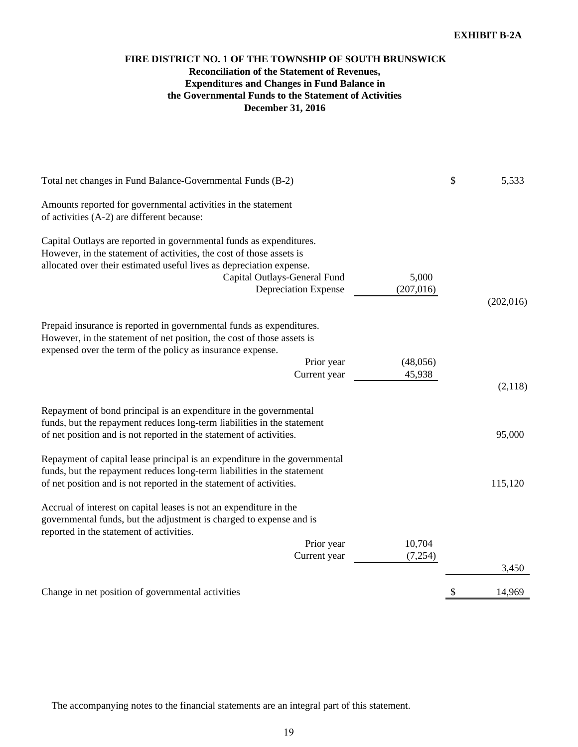# **December 31, 2016 FIRE DISTRICT NO. 1 OF THE TOWNSHIP OF SOUTH BRUNSWICK Reconciliation of the Statement of Revenues, Expenditures and Changes in Fund Balance in the Governmental Funds to the Statement of Activities**

| Total net changes in Fund Balance-Governmental Funds (B-2)                                                                                                                                                                                                                         |                     | \$<br>5,533  |
|------------------------------------------------------------------------------------------------------------------------------------------------------------------------------------------------------------------------------------------------------------------------------------|---------------------|--------------|
| Amounts reported for governmental activities in the statement<br>of activities (A-2) are different because:                                                                                                                                                                        |                     |              |
| Capital Outlays are reported in governmental funds as expenditures.<br>However, in the statement of activities, the cost of those assets is<br>allocated over their estimated useful lives as depreciation expense.<br>Capital Outlays-General Fund<br><b>Depreciation Expense</b> | 5,000<br>(207, 016) | (202,016)    |
| Prepaid insurance is reported in governmental funds as expenditures.<br>However, in the statement of net position, the cost of those assets is<br>expensed over the term of the policy as insurance expense.<br>Prior year<br>Current year                                         | (48,056)<br>45,938  | (2,118)      |
| Repayment of bond principal is an expenditure in the governmental<br>funds, but the repayment reduces long-term liabilities in the statement<br>of net position and is not reported in the statement of activities.                                                                |                     | 95,000       |
| Repayment of capital lease principal is an expenditure in the governmental<br>funds, but the repayment reduces long-term liabilities in the statement<br>of net position and is not reported in the statement of activities.                                                       |                     | 115,120      |
| Accrual of interest on capital leases is not an expenditure in the<br>governmental funds, but the adjustment is charged to expense and is<br>reported in the statement of activities.                                                                                              |                     |              |
| Prior year<br>Current year                                                                                                                                                                                                                                                         | 10,704<br>(7,254)   | 3,450        |
| Change in net position of governmental activities                                                                                                                                                                                                                                  |                     | \$<br>14,969 |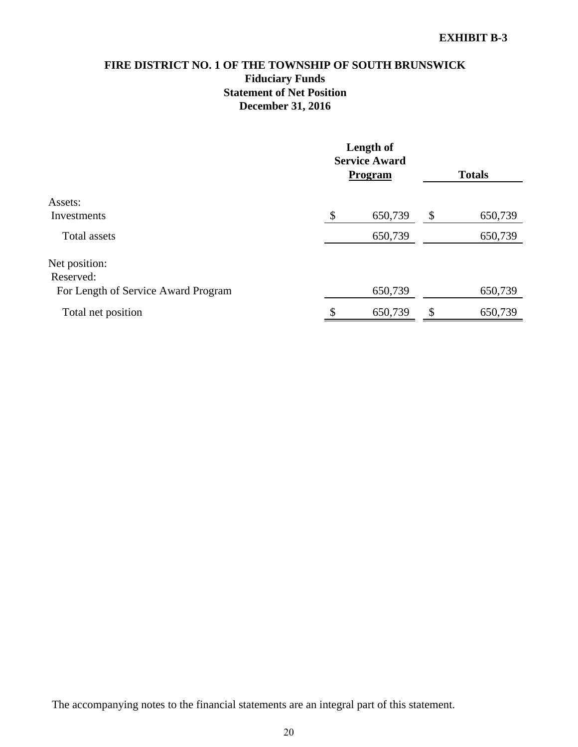# **FIRE DISTRICT NO. 1 OF THE TOWNSHIP OF SOUTH BRUNSWICK Fiduciary Funds Statement of Net Position December 31, 2016**

|                                     |    | Length of<br><b>Service Award</b><br><b>Program</b> | <b>Totals</b> |         |  |
|-------------------------------------|----|-----------------------------------------------------|---------------|---------|--|
| Assets:                             |    |                                                     |               |         |  |
| Investments                         | \$ | 650,739                                             | \$            | 650,739 |  |
| Total assets                        |    | 650,739                                             |               | 650,739 |  |
| Net position:                       |    |                                                     |               |         |  |
| Reserved:                           |    |                                                     |               |         |  |
| For Length of Service Award Program |    | 650,739                                             |               | 650,739 |  |
| Total net position                  | ¢  | 650,739                                             | \$            | 650,739 |  |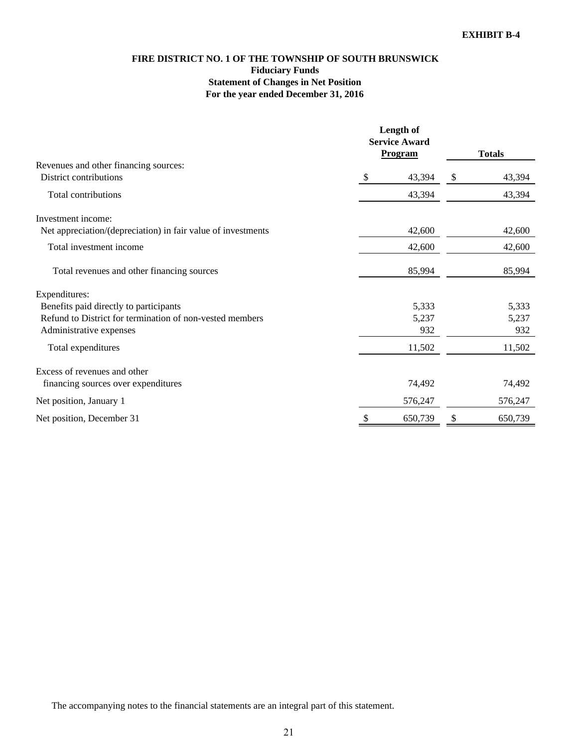# **FIRE DISTRICT NO. 1 OF THE TOWNSHIP OF SOUTH BRUNSWICK Fiduciary Funds Statement of Changes in Net Position For the year ended December 31, 2016**

|                                                              | Length of<br><b>Service Award</b><br><b>Program</b> |   | <b>Totals</b> |
|--------------------------------------------------------------|-----------------------------------------------------|---|---------------|
| Revenues and other financing sources:                        |                                                     |   |               |
| District contributions                                       | \$<br>43,394                                        | S | 43,394        |
| Total contributions                                          | 43,394                                              |   | 43,394        |
| Investment income:                                           |                                                     |   |               |
| Net appreciation/(depreciation) in fair value of investments | 42,600                                              |   | 42,600        |
| Total investment income                                      | 42,600                                              |   | 42,600        |
| Total revenues and other financing sources                   | 85,994                                              |   | 85,994        |
| Expenditures:                                                |                                                     |   |               |
| Benefits paid directly to participants                       | 5,333                                               |   | 5,333         |
| Refund to District for termination of non-vested members     | 5,237                                               |   | 5,237         |
| Administrative expenses                                      | 932                                                 |   | 932           |
| Total expenditures                                           | 11,502                                              |   | 11,502        |
| Excess of revenues and other                                 |                                                     |   |               |
| financing sources over expenditures                          | 74,492                                              |   | 74,492        |
| Net position, January 1                                      | 576,247                                             |   | 576,247       |
| Net position, December 31                                    | 650,739                                             |   | 650,739       |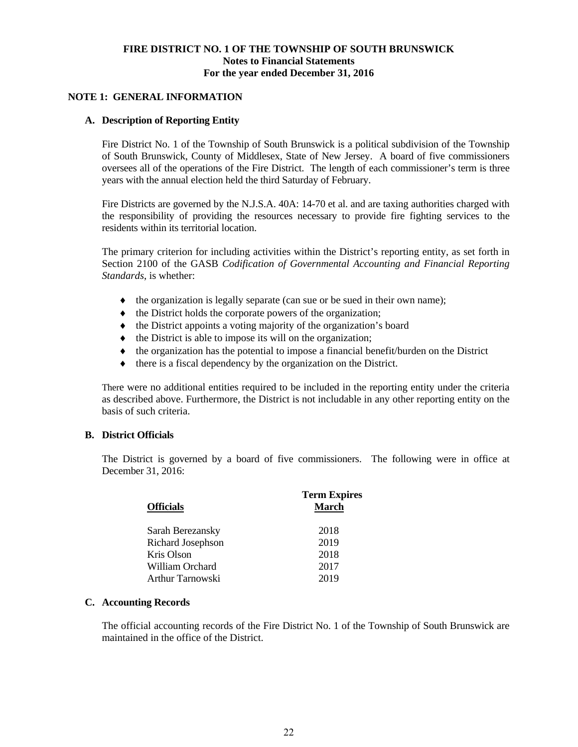# **NOTE 1: GENERAL INFORMATION**

# **A. Description of Reporting Entity**

Fire District No. 1 of the Township of South Brunswick is a political subdivision of the Township of South Brunswick, County of Middlesex, State of New Jersey. A board of five commissioners oversees all of the operations of the Fire District. The length of each commissioner's term is three years with the annual election held the third Saturday of February.

Fire Districts are governed by the N.J.S.A. 40A: 14-70 et al. and are taxing authorities charged with the responsibility of providing the resources necessary to provide fire fighting services to the residents within its territorial location.

The primary criterion for including activities within the District's reporting entity, as set forth in Section 2100 of the GASB *Codification of Governmental Accounting and Financial Reporting Standards*, is whether:

- the organization is legally separate (can sue or be sued in their own name);
- $\bullet$  the District holds the corporate powers of the organization;
- $\bullet$  the District appoints a voting majority of the organization's board
- $\bullet$  the District is able to impose its will on the organization;
- $\bullet$  the organization has the potential to impose a financial benefit/burden on the District
- $\bullet$  there is a fiscal dependency by the organization on the District.

There were no additional entities required to be included in the reporting entity under the criteria as described above. Furthermore, the District is not includable in any other reporting entity on the basis of such criteria.

# **B. District Officials**

The District is governed by a board of five commissioners. The following were in office at December 31, 2016:

| <b>Officials</b>  | <b>Term Expires</b><br><b>March</b> |
|-------------------|-------------------------------------|
| Sarah Berezansky  | 2018                                |
| Richard Josephson | 2019                                |
| Kris Olson        | 2018                                |
| William Orchard   | 2017                                |
| Arthur Tarnowski  | 2019                                |

# **C. Accounting Records**

The official accounting records of the Fire District No. 1 of the Township of South Brunswick are maintained in the office of the District.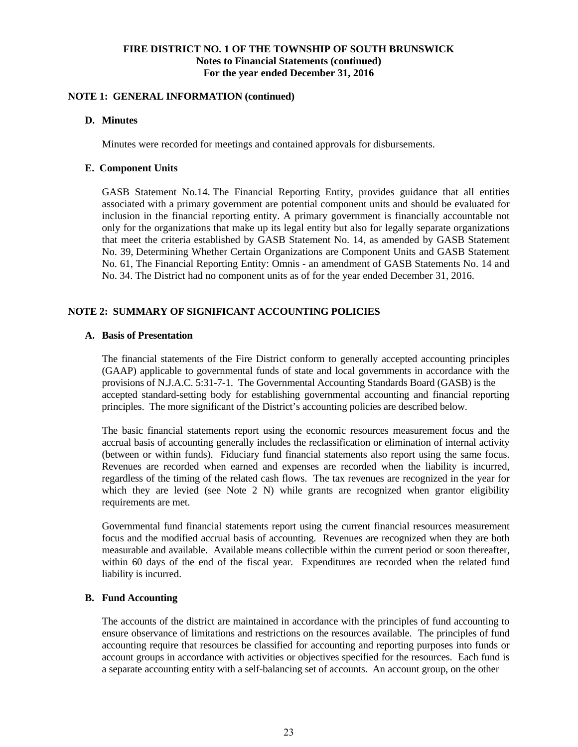# **NOTE 1: GENERAL INFORMATION (continued)**

#### **D. Minutes**

Minutes were recorded for meetings and contained approvals for disbursements.

#### **E. Component Units**

GASB Statement No.14. The Financial Reporting Entity, provides guidance that all entities associated with a primary government are potential component units and should be evaluated for inclusion in the financial reporting entity. A primary government is financially accountable not only for the organizations that make up its legal entity but also for legally separate organizations that meet the criteria established by GASB Statement No. 14, as amended by GASB Statement No. 39, Determining Whether Certain Organizations are Component Units and GASB Statement No. 61, The Financial Reporting Entity: Omnis - an amendment of GASB Statements No. 14 and No. 34. The District had no component units as of for the year ended December 31, 2016.

# **NOTE 2: SUMMARY OF SIGNIFICANT ACCOUNTING POLICIES**

# **A. Basis of Presentation**

 The financial statements of the Fire District conform to generally accepted accounting principles (GAAP) applicable to governmental funds of state and local governments in accordance with the provisions of N.J.A.C. 5:31-7-1. The Governmental Accounting Standards Board (GASB) is the accepted standard-setting body for establishing governmental accounting and financial reporting principles. The more significant of the District's accounting policies are described below.

 The basic financial statements report using the economic resources measurement focus and the accrual basis of accounting generally includes the reclassification or elimination of internal activity (between or within funds). Fiduciary fund financial statements also report using the same focus. Revenues are recorded when earned and expenses are recorded when the liability is incurred, regardless of the timing of the related cash flows. The tax revenues are recognized in the year for which they are levied (see Note 2 N) while grants are recognized when grantor eligibility requirements are met.

 Governmental fund financial statements report using the current financial resources measurement focus and the modified accrual basis of accounting. Revenues are recognized when they are both measurable and available. Available means collectible within the current period or soon thereafter, within 60 days of the end of the fiscal year. Expenditures are recorded when the related fund liability is incurred.

#### **B. Fund Accounting**

The accounts of the district are maintained in accordance with the principles of fund accounting to ensure observance of limitations and restrictions on the resources available. The principles of fund accounting require that resources be classified for accounting and reporting purposes into funds or account groups in accordance with activities or objectives specified for the resources. Each fund is a separate accounting entity with a self-balancing set of accounts. An account group, on the other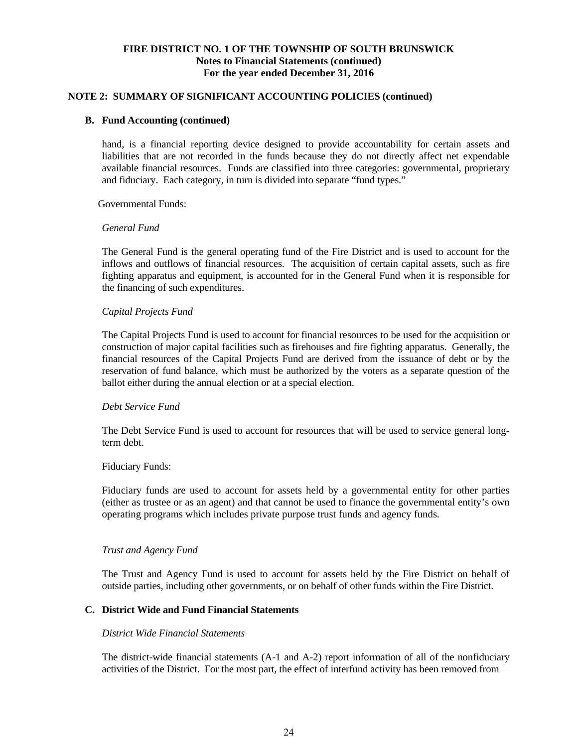#### **NOTE 2: SUMMARY OF SIGNIFICANT ACCOUNTING POLICIES (continued)**

#### **B. Fund Accounting (continued)**

hand, is a financial reporting device designed to provide accountability for certain assets and liabilities that are not recorded in the funds because they do not directly affect net expendable available financial resources. Funds are classified into three categories: governmental, proprietary and fiduciary. Each category, in turn is divided into separate "fund types."

Governmental Funds:

#### *General Fund*

The General Fund is the general operating fund of the Fire District and is used to account for the inflows and outflows of financial resources. The acquisition of certain capital assets, such as fire fighting apparatus and equipment, is accounted for in the General Fund when it is responsible for the financing of such expenditures.

# *Capital Projects Fund*

The Capital Projects Fund is used to account for financial resources to be used for the acquisition or construction of major capital facilities such as firehouses and fire fighting apparatus. Generally, the financial resources of the Capital Projects Fund are derived from the issuance of debt or by the reservation of fund balance, which must be authorized by the voters as a separate question of the ballot either during the annual election or at a special election.

#### *Debt Service Fund*

The Debt Service Fund is used to account for resources that will be used to service general longterm debt.

#### Fiduciary Funds:

Fiduciary funds are used to account for assets held by a governmental entity for other parties (either as trustee or as an agent) and that cannot be used to finance the governmental entity's own operating programs which includes private purpose trust funds and agency funds.

#### *Trust and Agency Fund*

The Trust and Agency Fund is used to account for assets held by the Fire District on behalf of outside parties, including other governments, or on behalf of other funds within the Fire District.

# **C. District Wide and Fund Financial Statements**

#### *District Wide Financial Statements*

The district-wide financial statements (A-1 and A-2) report information of all of the nonfiduciary activities of the District. For the most part, the effect of interfund activity has been removed from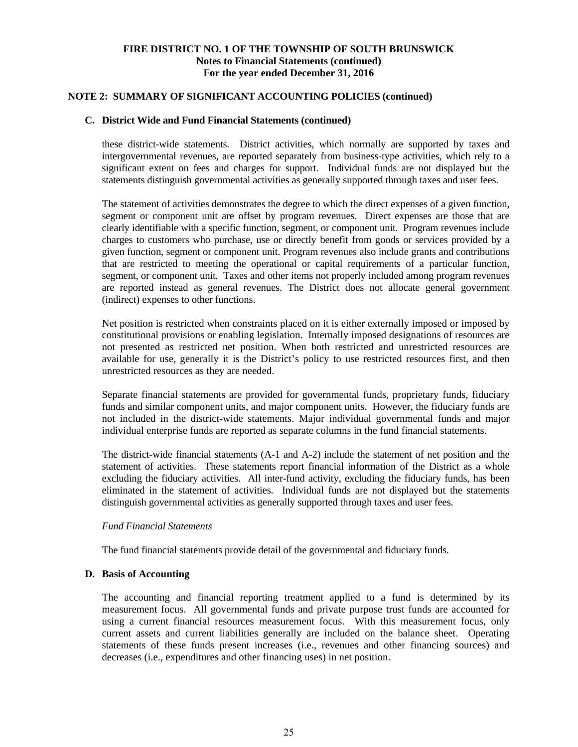# **NOTE 2: SUMMARY OF SIGNIFICANT ACCOUNTING POLICIES (continued)**

# **C. District Wide and Fund Financial Statements (continued)**

these district-wide statements. District activities, which normally are supported by taxes and intergovernmental revenues, are reported separately from business-type activities, which rely to a significant extent on fees and charges for support. Individual funds are not displayed but the statements distinguish governmental activities as generally supported through taxes and user fees.

The statement of activities demonstrates the degree to which the direct expenses of a given function, segment or component unit are offset by program revenues. Direct expenses are those that are clearly identifiable with a specific function, segment, or component unit. Program revenues include charges to customers who purchase, use or directly benefit from goods or services provided by a given function, segment or component unit. Program revenues also include grants and contributions that are restricted to meeting the operational or capital requirements of a particular function, segment, or component unit. Taxes and other items not properly included among program revenues are reported instead as general revenues. The District does not allocate general government (indirect) expenses to other functions.

Net position is restricted when constraints placed on it is either externally imposed or imposed by constitutional provisions or enabling legislation. Internally imposed designations of resources are not presented as restricted net position. When both restricted and unrestricted resources are available for use, generally it is the District's policy to use restricted resources first, and then unrestricted resources as they are needed.

Separate financial statements are provided for governmental funds, proprietary funds, fiduciary funds and similar component units, and major component units. However, the fiduciary funds are not included in the district-wide statements. Major individual governmental funds and major individual enterprise funds are reported as separate columns in the fund financial statements.

The district-wide financial statements (A-1 and A-2) include the statement of net position and the statement of activities. These statements report financial information of the District as a whole excluding the fiduciary activities. All inter-fund activity, excluding the fiduciary funds, has been eliminated in the statement of activities. Individual funds are not displayed but the statements distinguish governmental activities as generally supported through taxes and user fees.

# *Fund Financial Statements*

The fund financial statements provide detail of the governmental and fiduciary funds.

# **D. Basis of Accounting**

The accounting and financial reporting treatment applied to a fund is determined by its measurement focus. All governmental funds and private purpose trust funds are accounted for using a current financial resources measurement focus. With this measurement focus, only current assets and current liabilities generally are included on the balance sheet. Operating statements of these funds present increases (i.e., revenues and other financing sources) and decreases (i.e., expenditures and other financing uses) in net position.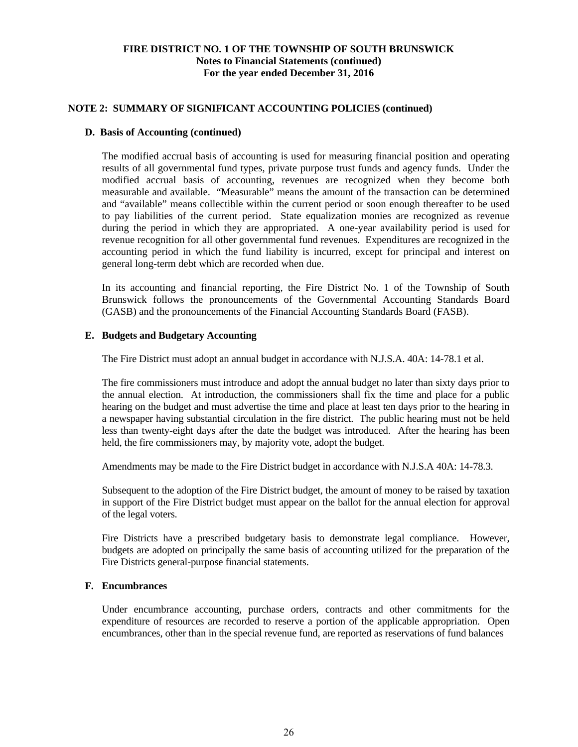# **NOTE 2: SUMMARY OF SIGNIFICANT ACCOUNTING POLICIES (continued)**

#### **D. Basis of Accounting (continued)**

The modified accrual basis of accounting is used for measuring financial position and operating results of all governmental fund types, private purpose trust funds and agency funds. Under the modified accrual basis of accounting, revenues are recognized when they become both measurable and available. "Measurable" means the amount of the transaction can be determined and "available" means collectible within the current period or soon enough thereafter to be used to pay liabilities of the current period. State equalization monies are recognized as revenue during the period in which they are appropriated. A one-year availability period is used for revenue recognition for all other governmental fund revenues. Expenditures are recognized in the accounting period in which the fund liability is incurred, except for principal and interest on general long-term debt which are recorded when due.

In its accounting and financial reporting, the Fire District No. 1 of the Township of South Brunswick follows the pronouncements of the Governmental Accounting Standards Board (GASB) and the pronouncements of the Financial Accounting Standards Board (FASB).

# **E. Budgets and Budgetary Accounting**

The Fire District must adopt an annual budget in accordance with N.J.S.A. 40A: 14-78.1 et al.

The fire commissioners must introduce and adopt the annual budget no later than sixty days prior to the annual election. At introduction, the commissioners shall fix the time and place for a public hearing on the budget and must advertise the time and place at least ten days prior to the hearing in a newspaper having substantial circulation in the fire district. The public hearing must not be held less than twenty-eight days after the date the budget was introduced. After the hearing has been held, the fire commissioners may, by majority vote, adopt the budget.

Amendments may be made to the Fire District budget in accordance with N.J.S.A 40A: 14-78.3.

Subsequent to the adoption of the Fire District budget, the amount of money to be raised by taxation in support of the Fire District budget must appear on the ballot for the annual election for approval of the legal voters.

Fire Districts have a prescribed budgetary basis to demonstrate legal compliance. However, budgets are adopted on principally the same basis of accounting utilized for the preparation of the Fire Districts general-purpose financial statements.

# **F. Encumbrances**

 Under encumbrance accounting, purchase orders, contracts and other commitments for the expenditure of resources are recorded to reserve a portion of the applicable appropriation. Open encumbrances, other than in the special revenue fund, are reported as reservations of fund balances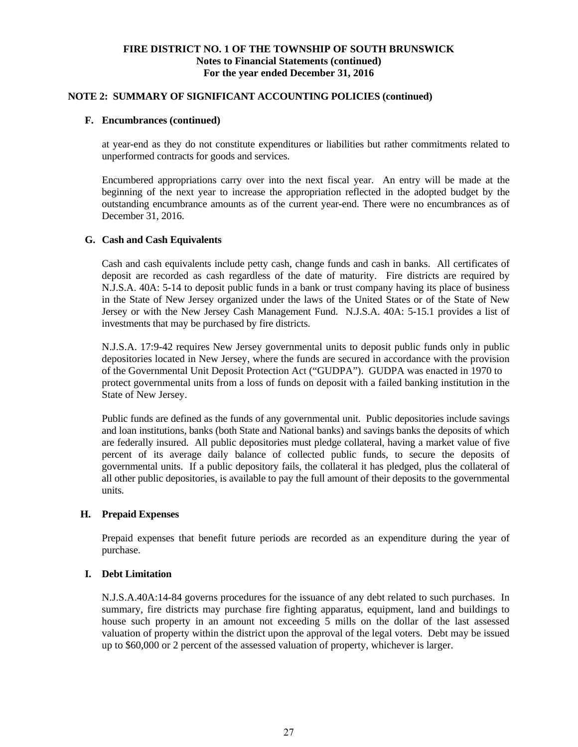# **NOTE 2: SUMMARY OF SIGNIFICANT ACCOUNTING POLICIES (continued)**

#### **F. Encumbrances (continued)**

 at year-end as they do not constitute expenditures or liabilities but rather commitments related to unperformed contracts for goods and services.

 Encumbered appropriations carry over into the next fiscal year. An entry will be made at the beginning of the next year to increase the appropriation reflected in the adopted budget by the outstanding encumbrance amounts as of the current year-end. There were no encumbrances as of December 31, 2016.

# **G. Cash and Cash Equivalents**

 Cash and cash equivalents include petty cash, change funds and cash in banks. All certificates of deposit are recorded as cash regardless of the date of maturity. Fire districts are required by N.J.S.A. 40A: 5-14 to deposit public funds in a bank or trust company having its place of business in the State of New Jersey organized under the laws of the United States or of the State of New Jersey or with the New Jersey Cash Management Fund. N.J.S.A. 40A: 5-15.1 provides a list of investments that may be purchased by fire districts.

 N.J.S.A. 17:9-42 requires New Jersey governmental units to deposit public funds only in public depositories located in New Jersey, where the funds are secured in accordance with the provision of the Governmental Unit Deposit Protection Act ("GUDPA"). GUDPA was enacted in 1970 to protect governmental units from a loss of funds on deposit with a failed banking institution in the State of New Jersey.

Public funds are defined as the funds of any governmental unit. Public depositories include savings and loan institutions, banks (both State and National banks) and savings banks the deposits of which are federally insured. All public depositories must pledge collateral, having a market value of five percent of its average daily balance of collected public funds, to secure the deposits of governmental units. If a public depository fails, the collateral it has pledged, plus the collateral of all other public depositories, is available to pay the full amount of their deposits to the governmental units.

#### **H. Prepaid Expenses**

Prepaid expenses that benefit future periods are recorded as an expenditure during the year of purchase.

# **I. Debt Limitation**

N.J.S.A.40A:14-84 governs procedures for the issuance of any debt related to such purchases. In summary, fire districts may purchase fire fighting apparatus, equipment, land and buildings to house such property in an amount not exceeding 5 mills on the dollar of the last assessed valuation of property within the district upon the approval of the legal voters. Debt may be issued up to \$60,000 or 2 percent of the assessed valuation of property, whichever is larger.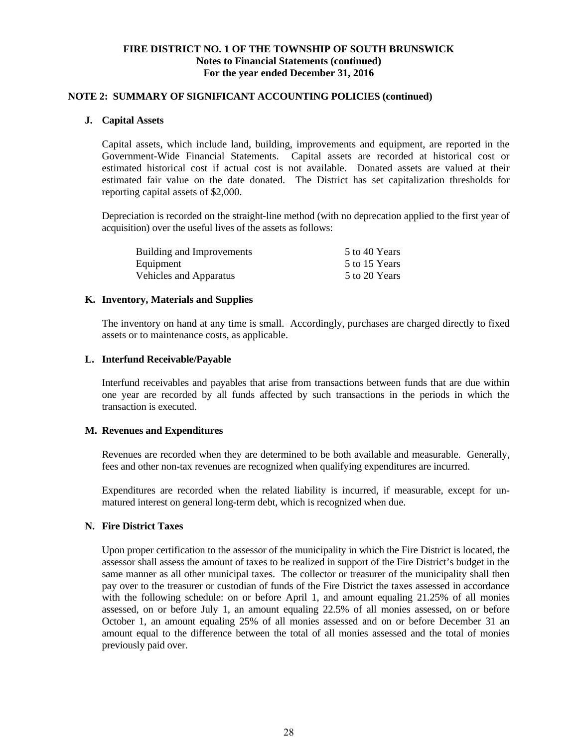#### **NOTE 2: SUMMARY OF SIGNIFICANT ACCOUNTING POLICIES (continued)**

#### **J. Capital Assets**

Capital assets, which include land, building, improvements and equipment, are reported in the Government-Wide Financial Statements. Capital assets are recorded at historical cost or estimated historical cost if actual cost is not available. Donated assets are valued at their estimated fair value on the date donated. The District has set capitalization thresholds for reporting capital assets of \$2,000.

Depreciation is recorded on the straight-line method (with no deprecation applied to the first year of acquisition) over the useful lives of the assets as follows:

| Building and Improvements     | 5 to 40 Years |
|-------------------------------|---------------|
| Equipment                     | 5 to 15 Years |
| <b>Vehicles and Apparatus</b> | 5 to 20 Years |

#### **K. Inventory, Materials and Supplies**

The inventory on hand at any time is small. Accordingly, purchases are charged directly to fixed assets or to maintenance costs, as applicable.

#### **L. Interfund Receivable/Payable**

Interfund receivables and payables that arise from transactions between funds that are due within one year are recorded by all funds affected by such transactions in the periods in which the transaction is executed.

#### **M. Revenues and Expenditures**

Revenues are recorded when they are determined to be both available and measurable. Generally, fees and other non-tax revenues are recognized when qualifying expenditures are incurred.

Expenditures are recorded when the related liability is incurred, if measurable, except for unmatured interest on general long-term debt, which is recognized when due.

#### **N. Fire District Taxes**

Upon proper certification to the assessor of the municipality in which the Fire District is located, the assessor shall assess the amount of taxes to be realized in support of the Fire District's budget in the same manner as all other municipal taxes. The collector or treasurer of the municipality shall then pay over to the treasurer or custodian of funds of the Fire District the taxes assessed in accordance with the following schedule: on or before April 1, and amount equaling 21.25% of all monies assessed, on or before July 1, an amount equaling 22.5% of all monies assessed, on or before October 1, an amount equaling 25% of all monies assessed and on or before December 31 an amount equal to the difference between the total of all monies assessed and the total of monies previously paid over.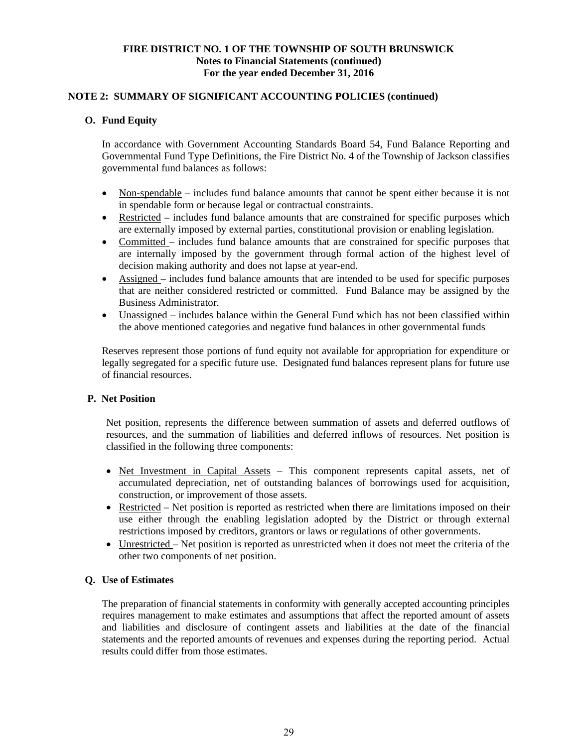# **NOTE 2: SUMMARY OF SIGNIFICANT ACCOUNTING POLICIES (continued)**

# **O. Fund Equity**

In accordance with Government Accounting Standards Board 54, Fund Balance Reporting and Governmental Fund Type Definitions, the Fire District No. 4 of the Township of Jackson classifies governmental fund balances as follows:

- Non-spendable includes fund balance amounts that cannot be spent either because it is not in spendable form or because legal or contractual constraints.
- Restricted includes fund balance amounts that are constrained for specific purposes which are externally imposed by external parties, constitutional provision or enabling legislation.
- Committed includes fund balance amounts that are constrained for specific purposes that are internally imposed by the government through formal action of the highest level of decision making authority and does not lapse at year-end.
- Assigned includes fund balance amounts that are intended to be used for specific purposes that are neither considered restricted or committed. Fund Balance may be assigned by the Business Administrator.
- Unassigned includes balance within the General Fund which has not been classified within the above mentioned categories and negative fund balances in other governmental funds

Reserves represent those portions of fund equity not available for appropriation for expenditure or legally segregated for a specific future use. Designated fund balances represent plans for future use of financial resources.

# **P. Net Position**

Net position, represents the difference between summation of assets and deferred outflows of resources, and the summation of liabilities and deferred inflows of resources. Net position is classified in the following three components:

- Net Investment in Capital Assets This component represents capital assets, net of accumulated depreciation, net of outstanding balances of borrowings used for acquisition, construction, or improvement of those assets.
- Restricted Net position is reported as restricted when there are limitations imposed on their use either through the enabling legislation adopted by the District or through external restrictions imposed by creditors, grantors or laws or regulations of other governments.
- Unrestricted Net position is reported as unrestricted when it does not meet the criteria of the other two components of net position.

#### **Q. Use of Estimates**

The preparation of financial statements in conformity with generally accepted accounting principles requires management to make estimates and assumptions that affect the reported amount of assets and liabilities and disclosure of contingent assets and liabilities at the date of the financial statements and the reported amounts of revenues and expenses during the reporting period. Actual results could differ from those estimates.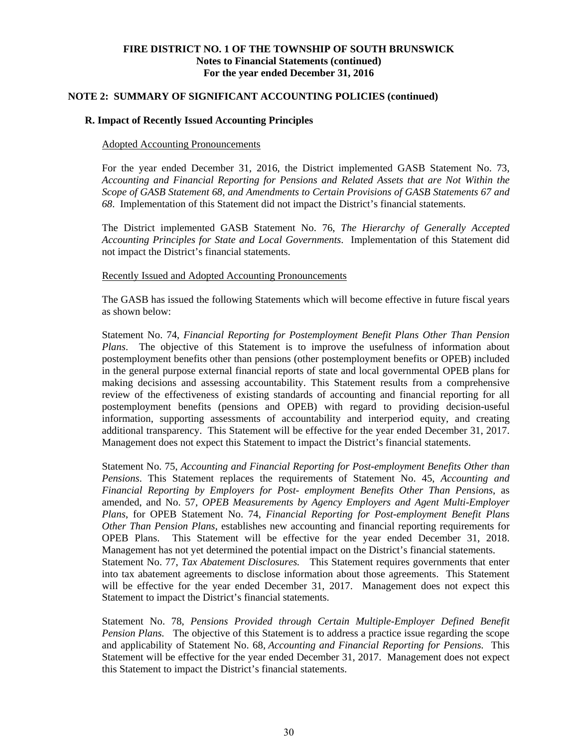#### **NOTE 2: SUMMARY OF SIGNIFICANT ACCOUNTING POLICIES (continued)**

#### **R. Impact of Recently Issued Accounting Principles**

#### Adopted Accounting Pronouncements

For the year ended December 31, 2016, the District implemented GASB Statement No. 73, *Accounting and Financial Reporting for Pensions and Related Assets that are Not Within the Scope of GASB Statement 68, and Amendments to Certain Provisions of GASB Statements 67 and 68*. Implementation of this Statement did not impact the District's financial statements.

The District implemented GASB Statement No. 76, *The Hierarchy of Generally Accepted Accounting Principles for State and Local Governments*. Implementation of this Statement did not impact the District's financial statements.

#### Recently Issued and Adopted Accounting Pronouncements

The GASB has issued the following Statements which will become effective in future fiscal years as shown below:

Statement No. 74, *Financial Reporting for Postemployment Benefit Plans Other Than Pension Plans*. The objective of this Statement is to improve the usefulness of information about postemployment benefits other than pensions (other postemployment benefits or OPEB) included in the general purpose external financial reports of state and local governmental OPEB plans for making decisions and assessing accountability. This Statement results from a comprehensive review of the effectiveness of existing standards of accounting and financial reporting for all postemployment benefits (pensions and OPEB) with regard to providing decision-useful information, supporting assessments of accountability and interperiod equity, and creating additional transparency. This Statement will be effective for the year ended December 31, 2017. Management does not expect this Statement to impact the District's financial statements.

Statement No. 75, *Accounting and Financial Reporting for Post-employment Benefits Other than Pensions*. This Statement replaces the requirements of Statement No. 45, *Accounting and Financial Reporting by Employers for Post- employment Benefits Other Than Pensions*, as amended, and No. 57*, OPEB Measurements by Agency Employers and Agent Multi-Employer Plans*, for OPEB Statement No. 74, *Financial Reporting for Post-employment Benefit Plans Other Than Pension Plans*, establishes new accounting and financial reporting requirements for OPEB Plans. This Statement will be effective for the year ended December 31, 2018. Management has not yet determined the potential impact on the District's financial statements. Statement No. 77, *Tax Abatement Disclosures.* This Statement requires governments that enter into tax abatement agreements to disclose information about those agreements. This Statement will be effective for the year ended December 31, 2017. Management does not expect this Statement to impact the District's financial statements.

Statement No. 78, *Pensions Provided through Certain Multiple-Employer Defined Benefit Pension Plans.* The objective of this Statement is to address a practice issue regarding the scope and applicability of Statement No. 68, *Accounting and Financial Reporting for Pensions*. This Statement will be effective for the year ended December 31, 2017. Management does not expect this Statement to impact the District's financial statements.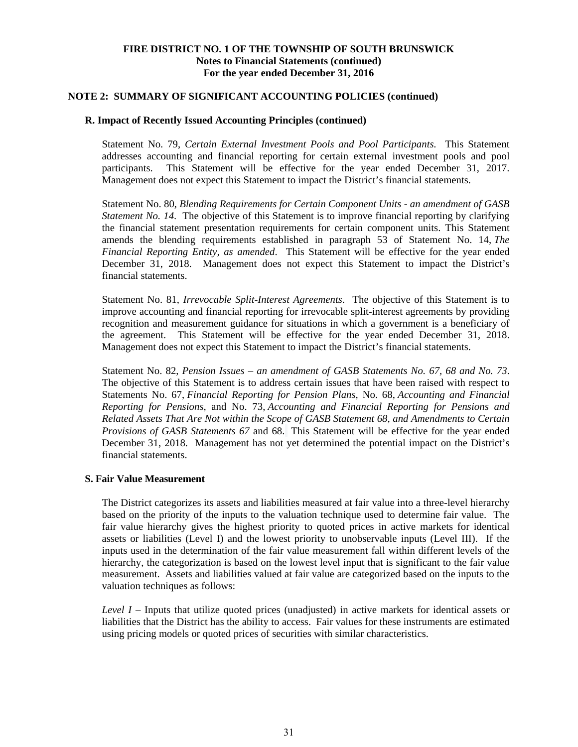#### **NOTE 2: SUMMARY OF SIGNIFICANT ACCOUNTING POLICIES (continued)**

# **R. Impact of Recently Issued Accounting Principles (continued)**

Statement No. 79, *Certain External Investment Pools and Pool Participants*. This Statement addresses accounting and financial reporting for certain external investment pools and pool participants. This Statement will be effective for the year ended December 31, 2017. Management does not expect this Statement to impact the District's financial statements.

Statement No. 80, *Blending Requirements for Certain Component Units - an amendment of GASB Statement No. 14.* The objective of this Statement is to improve financial reporting by clarifying the financial statement presentation requirements for certain component units. This Statement amends the blending requirements established in paragraph 53 of Statement No. 14, *The Financial Reporting Entity, as amended*. This Statement will be effective for the year ended December 31, 2018. Management does not expect this Statement to impact the District's financial statements.

Statement No. 81, *Irrevocable Split-Interest Agreements*. The objective of this Statement is to improve accounting and financial reporting for irrevocable split-interest agreements by providing recognition and measurement guidance for situations in which a government is a beneficiary of the agreement. This Statement will be effective for the year ended December 31, 2018. Management does not expect this Statement to impact the District's financial statements.

Statement No. 82, *Pension Issues – an amendment of GASB Statements No. 67, 68 and No. 73*. The objective of this Statement is to address certain issues that have been raised with respect to Statements No. 67, *Financial Reporting for Pension Plans*, No. 68, *Accounting and Financial Reporting for Pensions*, and No. 73, *Accounting and Financial Reporting for Pensions and Related Assets That Are Not within the Scope of GASB Statement 68, and Amendments to Certain Provisions of GASB Statements 67* and 68. This Statement will be effective for the year ended December 31, 2018. Management has not yet determined the potential impact on the District's financial statements.

#### **S. Fair Value Measurement**

The District categorizes its assets and liabilities measured at fair value into a three-level hierarchy based on the priority of the inputs to the valuation technique used to determine fair value. The fair value hierarchy gives the highest priority to quoted prices in active markets for identical assets or liabilities (Level I) and the lowest priority to unobservable inputs (Level III). If the inputs used in the determination of the fair value measurement fall within different levels of the hierarchy, the categorization is based on the lowest level input that is significant to the fair value measurement. Assets and liabilities valued at fair value are categorized based on the inputs to the valuation techniques as follows:

*Level I –* Inputs that utilize quoted prices (unadjusted) in active markets for identical assets or liabilities that the District has the ability to access. Fair values for these instruments are estimated using pricing models or quoted prices of securities with similar characteristics.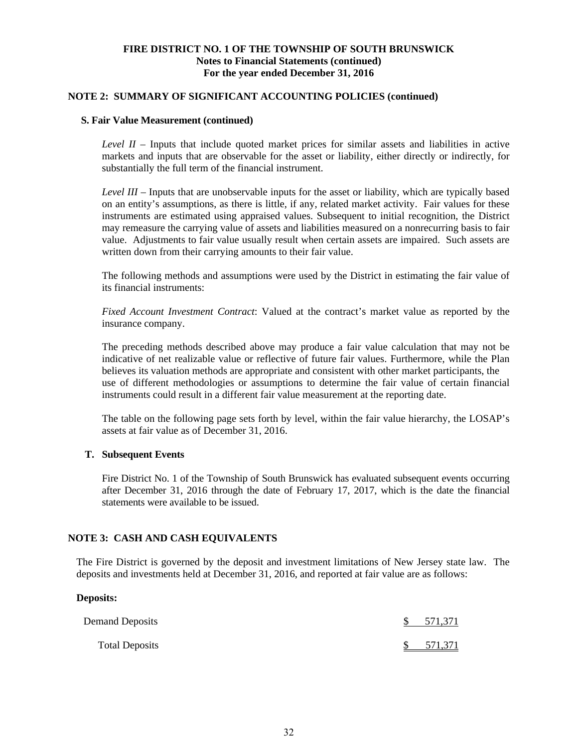#### **NOTE 2: SUMMARY OF SIGNIFICANT ACCOUNTING POLICIES (continued)**

#### **S. Fair Value Measurement (continued)**

*Level II –* Inputs that include quoted market prices for similar assets and liabilities in active markets and inputs that are observable for the asset or liability, either directly or indirectly, for substantially the full term of the financial instrument.

*Level III –* Inputs that are unobservable inputs for the asset or liability, which are typically based on an entity's assumptions, as there is little, if any, related market activity. Fair values for these instruments are estimated using appraised values. Subsequent to initial recognition, the District may remeasure the carrying value of assets and liabilities measured on a nonrecurring basis to fair value. Adjustments to fair value usually result when certain assets are impaired. Such assets are written down from their carrying amounts to their fair value.

The following methods and assumptions were used by the District in estimating the fair value of its financial instruments:

*Fixed Account Investment Contract*: Valued at the contract's market value as reported by the insurance company.

The preceding methods described above may produce a fair value calculation that may not be indicative of net realizable value or reflective of future fair values. Furthermore, while the Plan believes its valuation methods are appropriate and consistent with other market participants, the use of different methodologies or assumptions to determine the fair value of certain financial instruments could result in a different fair value measurement at the reporting date.

The table on the following page sets forth by level, within the fair value hierarchy, the LOSAP's assets at fair value as of December 31, 2016.

#### **T. Subsequent Events**

Fire District No. 1 of the Township of South Brunswick has evaluated subsequent events occurring after December 31, 2016 through the date of February 17, 2017, which is the date the financial statements were available to be issued.

# **NOTE 3: CASH AND CASH EQUIVALENTS**

The Fire District is governed by the deposit and investment limitations of New Jersey state law. The deposits and investments held at December 31, 2016, and reported at fair value are as follows:

#### **Deposits:**

| Demand Deposits       | $\mathcal{S}$ | 571,371 |
|-----------------------|---------------|---------|
| <b>Total Deposits</b> |               | 571,371 |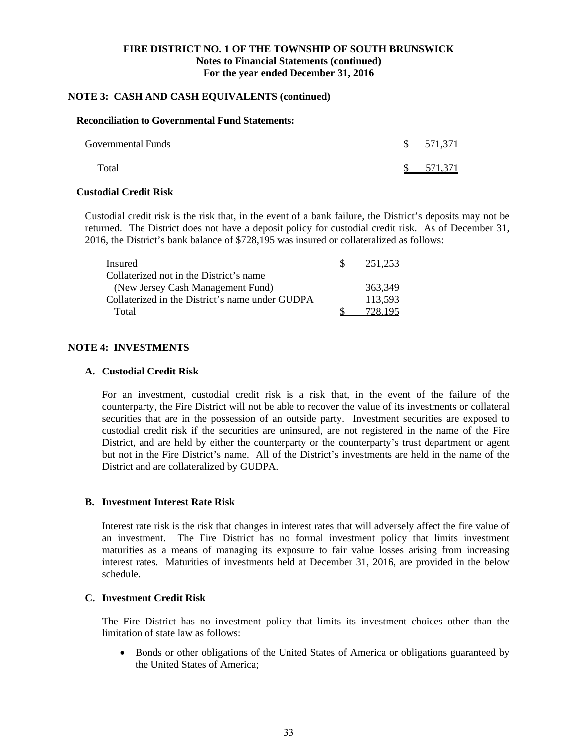# **NOTE 3: CASH AND CASH EQUIVALENTS (continued)**

# **Reconciliation to Governmental Fund Statements:**

| <b>Governmental Funds</b> | <sup>S</sup> | 571,371 |
|---------------------------|--------------|---------|
| Total                     | S.           | 571,371 |

### **Custodial Credit Risk**

Custodial credit risk is the risk that, in the event of a bank failure, the District's deposits may not be returned. The District does not have a deposit policy for custodial credit risk. As of December 31, 2016, the District's bank balance of \$728,195 was insured or collateralized as follows:

| Insured                                         | 251.253 |
|-------------------------------------------------|---------|
| Collaterized not in the District's name         |         |
| (New Jersey Cash Management Fund)               | 363,349 |
| Collaterized in the District's name under GUDPA | 113,593 |
| Total                                           | 728 195 |

# **NOTE 4: INVESTMENTS**

#### **A. Custodial Credit Risk**

For an investment, custodial credit risk is a risk that, in the event of the failure of the counterparty, the Fire District will not be able to recover the value of its investments or collateral securities that are in the possession of an outside party. Investment securities are exposed to custodial credit risk if the securities are uninsured, are not registered in the name of the Fire District, and are held by either the counterparty or the counterparty's trust department or agent but not in the Fire District's name. All of the District's investments are held in the name of the District and are collateralized by GUDPA.

# **B. Investment Interest Rate Risk**

Interest rate risk is the risk that changes in interest rates that will adversely affect the fire value of an investment. The Fire District has no formal investment policy that limits investment maturities as a means of managing its exposure to fair value losses arising from increasing interest rates. Maturities of investments held at December 31, 2016, are provided in the below schedule.

#### **C. Investment Credit Risk**

The Fire District has no investment policy that limits its investment choices other than the limitation of state law as follows:

 Bonds or other obligations of the United States of America or obligations guaranteed by the United States of America;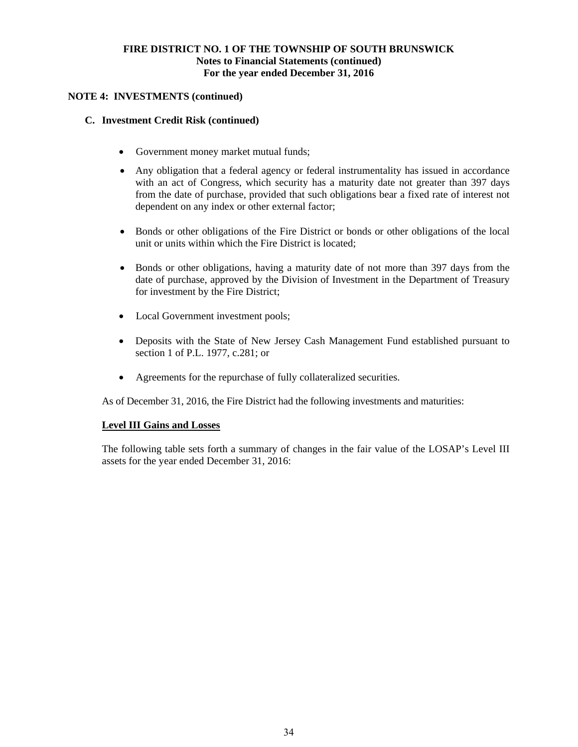# **NOTE 4: INVESTMENTS (continued)**

# **C. Investment Credit Risk (continued)**

- Government money market mutual funds;
- Any obligation that a federal agency or federal instrumentality has issued in accordance with an act of Congress, which security has a maturity date not greater than 397 days from the date of purchase, provided that such obligations bear a fixed rate of interest not dependent on any index or other external factor;
- Bonds or other obligations of the Fire District or bonds or other obligations of the local unit or units within which the Fire District is located;
- Bonds or other obligations, having a maturity date of not more than 397 days from the date of purchase, approved by the Division of Investment in the Department of Treasury for investment by the Fire District;
- Local Government investment pools;
- Deposits with the State of New Jersey Cash Management Fund established pursuant to section 1 of P.L. 1977, c.281; or
- Agreements for the repurchase of fully collateralized securities.

As of December 31, 2016, the Fire District had the following investments and maturities:

# **Level III Gains and Losses**

The following table sets forth a summary of changes in the fair value of the LOSAP's Level III assets for the year ended December 31, 2016: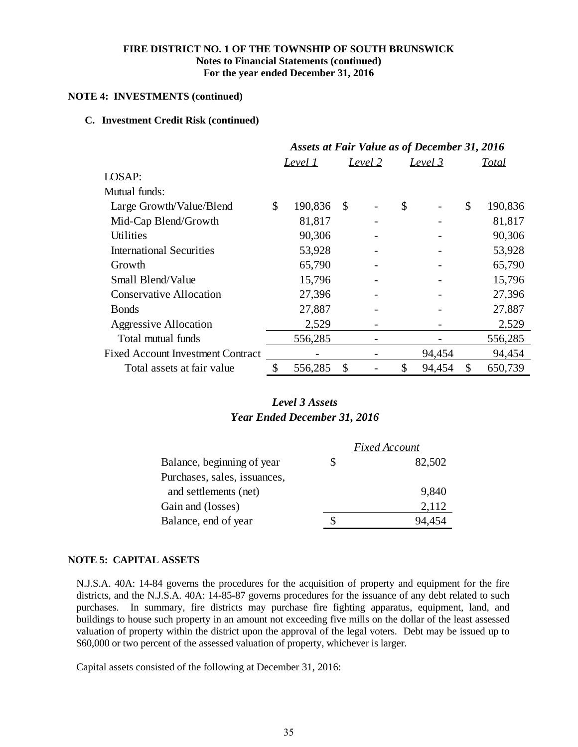# **NOTE 4: INVESTMENTS (continued)**

# **C. Investment Credit Risk (continued)**

|                                          | <b>Assets at Fair Value as of December 31, 2016</b> |                |    |                |    |                |    |              |
|------------------------------------------|-----------------------------------------------------|----------------|----|----------------|----|----------------|----|--------------|
|                                          |                                                     | <u>Level 1</u> |    | <u>Level 2</u> |    | <u>Level 3</u> |    | <b>Total</b> |
| LOSAP:                                   |                                                     |                |    |                |    |                |    |              |
| Mutual funds:                            |                                                     |                |    |                |    |                |    |              |
| Large Growth/Value/Blend                 | \$                                                  | 190,836        | \$ |                | \$ |                | \$ | 190,836      |
| Mid-Cap Blend/Growth                     |                                                     | 81,817         |    |                |    |                |    | 81,817       |
| Utilities                                |                                                     | 90,306         |    |                |    |                |    | 90,306       |
| <b>International Securities</b>          |                                                     | 53,928         |    |                |    |                |    | 53,928       |
| Growth                                   |                                                     | 65,790         |    |                |    |                |    | 65,790       |
| Small Blend/Value                        |                                                     | 15,796         |    |                |    |                |    | 15,796       |
| <b>Conservative Allocation</b>           |                                                     | 27,396         |    |                |    |                |    | 27,396       |
| <b>B</b> onds                            |                                                     | 27,887         |    |                |    |                |    | 27,887       |
| <b>Aggressive Allocation</b>             |                                                     | 2,529          |    |                |    |                |    | 2,529        |
| Total mutual funds                       |                                                     | 556,285        |    |                |    |                |    | 556,285      |
| <b>Fixed Account Investment Contract</b> |                                                     |                |    |                |    | 94,454         |    | 94,454       |
| Total assets at fair value               | \$                                                  | 556,285        | \$ |                | \$ | 94,454         | \$ | 650,739      |

# *Year Ended December 31, 2016 Level 3 Assets*

|                              |   | <b>Fixed Account</b> |
|------------------------------|---|----------------------|
| Balance, beginning of year   | S | 82,502               |
| Purchases, sales, issuances, |   |                      |
| and settlements (net)        |   | 9,840                |
| Gain and (losses)            |   | 2,112                |
| Balance, end of year         |   | 94.454               |

# **NOTE 5: CAPITAL ASSETS**

N.J.S.A. 40A: 14-84 governs the procedures for the acquisition of property and equipment for the fire districts, and the N.J.S.A. 40A: 14-85-87 governs procedures for the issuance of any debt related to such purchases. In summary, fire districts may purchase fire fighting apparatus, equipment, land, and buildings to house such property in an amount not exceeding five mills on the dollar of the least assessed valuation of property within the district upon the approval of the legal voters. Debt may be issued up to \$60,000 or two percent of the assessed valuation of property, whichever is larger.

Capital assets consisted of the following at December 31, 2016: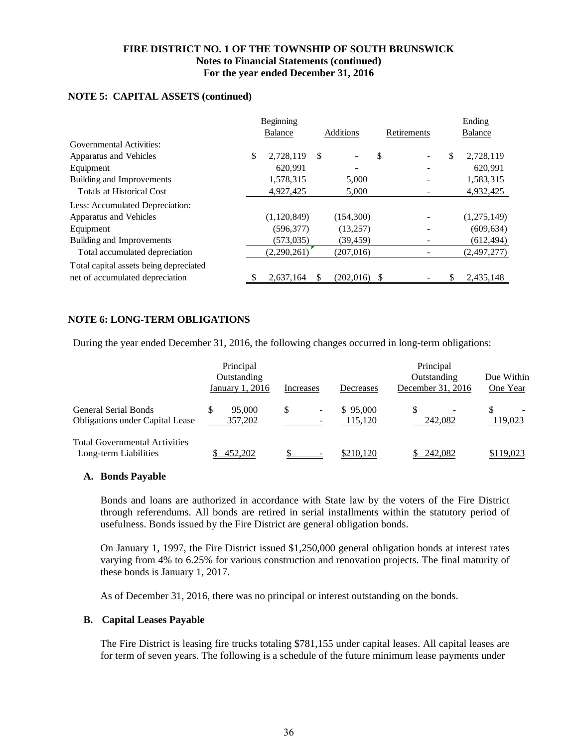# Beginning Ending Balance Additions Retirements Balance Governmental Activities: Apparatus and Vehicles  $\begin{array}{cccccccccc} \text{\$} & 2,728,119 & \text{\$} & & - & \text{\$} & & - & \text{\$} & 2,728,119 \end{array}$ Equipment 620,991 - 620,991 - 620,991 - 620,991 Building and Improvements 1,578,315 5,000 - 1,583,315 Totals at Historical Cost  $4,927,425$   $5,000$   $4,932,425$ Less: Accumulated Depreciation: Apparatus and Vehicles (1,120,849) (154,300) (154,300) (1,275,149) Equipment (596,377) (13,257) (13,257) (609,634) Building and Improvements (573,035) (39,459) (39,459) (612,494) Total accumulated depreciation (2,290,261) (207,016) (207,016) (2,497,277) Total capital assets being depreciated net of accumulated depreciation  $\frac{1}{2637,164}$  \$ (202,016) \$  $\frac{1}{2037,148}$

#### **NOTE 5: CAPITAL ASSETS (continued)**

# **NOTE 6: LONG-TERM OBLIGATIONS**

During the year ended December 31, 2016, the following changes occurred in long-term obligations:

|                                                                | Principal<br>Outstanding<br>January 1, 2016 | Increases         | Decreases           | Principal<br>Outstanding<br>December 31, 2016 | Due Within<br>One Year |
|----------------------------------------------------------------|---------------------------------------------|-------------------|---------------------|-----------------------------------------------|------------------------|
| General Serial Bonds<br><b>Obligations under Capital Lease</b> | 95,000<br>357,202                           | $\qquad \qquad -$ | \$95,000<br>115,120 | 242,082                                       | 119,023                |
| <b>Total Governmental Activities</b><br>Long-term Liabilities  | 452,202                                     |                   | \$210,120           | <u>\$242,082</u>                              | \$119,023              |

#### **A. Bonds Payable**

Bonds and loans are authorized in accordance with State law by the voters of the Fire District through referendums. All bonds are retired in serial installments within the statutory period of usefulness. Bonds issued by the Fire District are general obligation bonds.

On January 1, 1997, the Fire District issued \$1,250,000 general obligation bonds at interest rates varying from 4% to 6.25% for various construction and renovation projects. The final maturity of these bonds is January 1, 2017.

As of December 31, 2016, there was no principal or interest outstanding on the bonds.

#### **B. Capital Leases Payable**

The Fire District is leasing fire trucks totaling \$781,155 under capital leases. All capital leases are for term of seven years. The following is a schedule of the future minimum lease payments under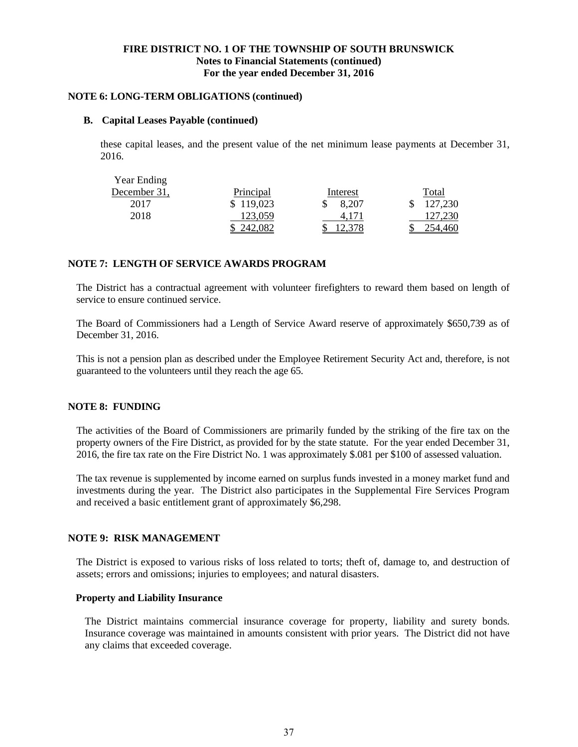#### **NOTE 6: LONG-TERM OBLIGATIONS (continued)**

#### **B. Capital Leases Payable (continued)**

these capital leases, and the present value of the net minimum lease payments at December 31, 2016.

| <b>Year Ending</b> |                  |          |         |
|--------------------|------------------|----------|---------|
| December 31,       | <b>Principal</b> | Interest | Total   |
| 2017               | \$119,023        | 8,207    | 127,230 |
| 2018               | 123.059          | 4.171    | 127,230 |
|                    |                  | ا لوگ د  |         |

# **NOTE 7: LENGTH OF SERVICE AWARDS PROGRAM**

The District has a contractual agreement with volunteer firefighters to reward them based on length of service to ensure continued service.

The Board of Commissioners had a Length of Service Award reserve of approximately \$650,739 as of December 31, 2016.

This is not a pension plan as described under the Employee Retirement Security Act and, therefore, is not guaranteed to the volunteers until they reach the age 65.

# **NOTE 8: FUNDING**

The activities of the Board of Commissioners are primarily funded by the striking of the fire tax on the property owners of the Fire District, as provided for by the state statute. For the year ended December 31, 2016, the fire tax rate on the Fire District No. 1 was approximately \$.081 per \$100 of assessed valuation.

The tax revenue is supplemented by income earned on surplus funds invested in a money market fund and investments during the year. The District also participates in the Supplemental Fire Services Program and received a basic entitlement grant of approximately \$6,298.

# **NOTE 9: RISK MANAGEMENT**

The District is exposed to various risks of loss related to torts; theft of, damage to, and destruction of assets; errors and omissions; injuries to employees; and natural disasters.

#### **Property and Liability Insurance**

The District maintains commercial insurance coverage for property, liability and surety bonds. Insurance coverage was maintained in amounts consistent with prior years. The District did not have any claims that exceeded coverage.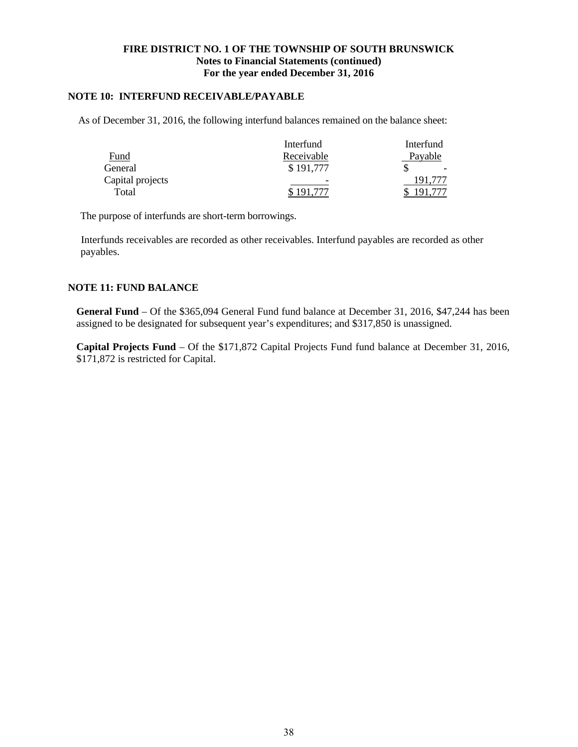# **NOTE 10: INTERFUND RECEIVABLE/PAYABLE**

As of December 31, 2016, the following interfund balances remained on the balance sheet:

|                  | Interfund                | Interfund |
|------------------|--------------------------|-----------|
| Fund             | Receivable               | Payable   |
| General          | \$191,777                |           |
| Capital projects | $\overline{\phantom{0}}$ | 191.777   |
| Total            |                          |           |

The purpose of interfunds are short-term borrowings.

 Interfunds receivables are recorded as other receivables. Interfund payables are recorded as other payables.

# **NOTE 11: FUND BALANCE**

**General Fund** – Of the \$365,094 General Fund fund balance at December 31, 2016, \$47,244 has been assigned to be designated for subsequent year's expenditures; and \$317,850 is unassigned.

**Capital Projects Fund** – Of the \$171,872 Capital Projects Fund fund balance at December 31, 2016, \$171,872 is restricted for Capital.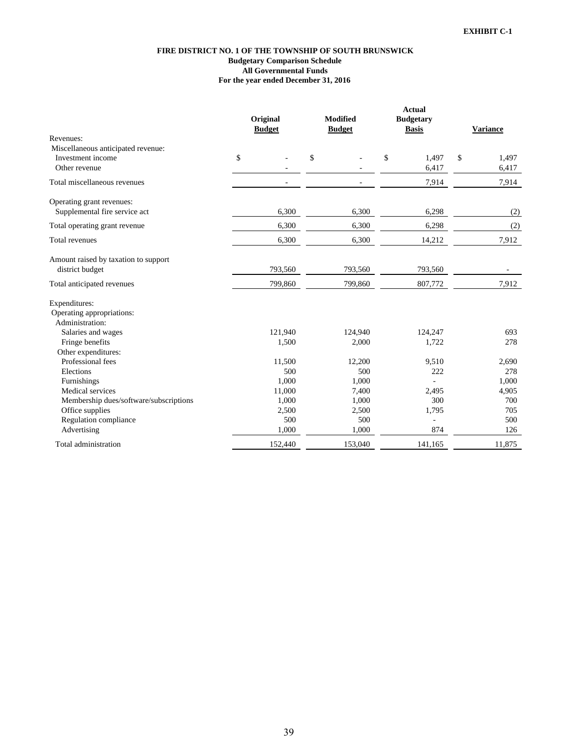#### **FIRE DISTRICT NO. 1 OF THE TOWNSHIP OF SOUTH BRUNSWICK Budgetary Comparison Schedule For the year ended December 31, 2016 All Governmental Funds**

|                                        | Original<br><b>Budget</b> |         | <b>Modified</b><br><b>Budget</b> |         | <b>Actual</b><br><b>Budgetary</b><br><b>Basis</b> | <b>Variance</b> |
|----------------------------------------|---------------------------|---------|----------------------------------|---------|---------------------------------------------------|-----------------|
| Revenues:                              |                           |         |                                  |         |                                                   |                 |
| Miscellaneous anticipated revenue:     |                           |         |                                  |         |                                                   |                 |
| Investment income                      | \$                        |         | \$                               |         | \$<br>1,497                                       | \$<br>1,497     |
| Other revenue                          |                           |         |                                  |         | 6,417                                             | 6,417           |
| Total miscellaneous revenues           |                           | ÷,      |                                  |         | 7,914                                             | 7,914           |
| Operating grant revenues:              |                           |         |                                  |         |                                                   |                 |
| Supplemental fire service act          |                           | 6,300   |                                  | 6,300   | 6,298                                             | (2)             |
| Total operating grant revenue          |                           | 6,300   |                                  | 6,300   | 6,298                                             | (2)             |
| Total revenues                         |                           | 6,300   |                                  | 6,300   | 14,212                                            | 7,912           |
| Amount raised by taxation to support   |                           |         |                                  |         |                                                   |                 |
| district budget                        |                           | 793,560 |                                  | 793,560 | 793,560                                           |                 |
| Total anticipated revenues             |                           | 799,860 |                                  | 799,860 | 807,772                                           | 7,912           |
| Expenditures:                          |                           |         |                                  |         |                                                   |                 |
| Operating appropriations:              |                           |         |                                  |         |                                                   |                 |
| Administration:                        |                           |         |                                  |         |                                                   |                 |
| Salaries and wages                     |                           | 121,940 |                                  | 124,940 | 124,247                                           | 693             |
| Fringe benefits                        |                           | 1,500   |                                  | 2,000   | 1,722                                             | 278             |
| Other expenditures:                    |                           |         |                                  |         |                                                   |                 |
| Professional fees                      |                           | 11,500  |                                  | 12,200  | 9,510                                             | 2,690           |
| Elections                              |                           | 500     |                                  | 500     | 222                                               | 278             |
| Furnishings                            |                           | 1,000   |                                  | 1,000   |                                                   | 1,000           |
| Medical services                       |                           | 11,000  |                                  | 7,400   | 2,495                                             | 4,905           |
| Membership dues/software/subscriptions |                           | 1,000   |                                  | 1,000   | 300                                               | 700             |
| Office supplies                        |                           | 2,500   |                                  | 2,500   | 1,795                                             | 705             |
| Regulation compliance                  |                           | 500     |                                  | 500     |                                                   | 500             |
| Advertising                            |                           | 1,000   |                                  | 1,000   | 874                                               | 126             |
| Total administration                   |                           | 152,440 |                                  | 153,040 | 141,165                                           | 11,875          |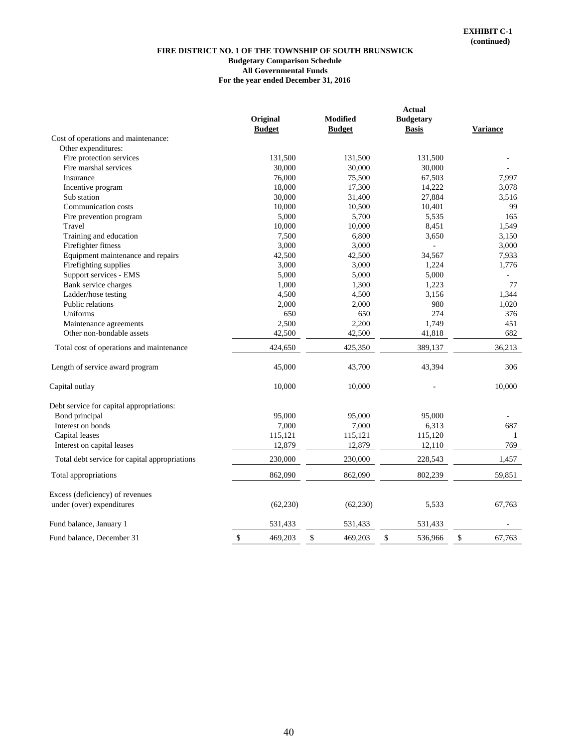#### **Budgetary Comparison Schedule For the year ended December 31, 2016 FIRE DISTRICT NO. 1 OF THE TOWNSHIP OF SOUTH BRUNSWICK All Governmental Funds**

|                                               |           |                 | <b>Actual</b>    |                 |        |
|-----------------------------------------------|-----------|-----------------|------------------|-----------------|--------|
| Original                                      |           | <b>Modified</b> | <b>Budgetary</b> |                 |        |
| <b>Budget</b>                                 |           | <b>Budget</b>   | <b>Basis</b>     | <b>Variance</b> |        |
| Cost of operations and maintenance:           |           |                 |                  |                 |        |
| Other expenditures:                           |           |                 |                  |                 |        |
| Fire protection services                      | 131,500   | 131,500         | 131,500          |                 |        |
| Fire marshal services                         | 30,000    | 30,000          | 30,000           |                 |        |
| Insurance                                     | 76,000    | 75,500          | 67,503           |                 | 7.997  |
| Incentive program                             | 18,000    | 17,300          | 14,222           |                 | 3,078  |
| Sub station                                   | 30,000    | 31,400          | 27,884           |                 | 3,516  |
| Communication costs                           | 10,000    | 10,500          | 10,401           |                 | 99     |
| Fire prevention program                       | 5,000     | 5,700           | 5,535            |                 | 165    |
| Travel                                        | 10,000    | 10,000          | 8,451            |                 | 1,549  |
| Training and education                        | 7,500     | 6,800           | 3,650            |                 | 3,150  |
| Firefighter fitness                           | 3,000     | 3,000           | ÷,               |                 | 3,000  |
| Equipment maintenance and repairs             | 42,500    | 42,500          | 34,567           |                 | 7,933  |
| Firefighting supplies                         | 3,000     | 3,000           | 1,224            |                 | 1,776  |
| Support services - EMS                        | 5,000     | 5,000           | 5,000            |                 |        |
| Bank service charges                          | 1,000     | 1,300           | 1,223            |                 | 77     |
| Ladder/hose testing                           | 4,500     | 4,500           | 3,156            |                 | 1,344  |
| Public relations                              | 2,000     | 2,000           | 980              |                 | 1,020  |
| Uniforms                                      | 650       | 650             | 274              |                 | 376    |
| Maintenance agreements                        | 2,500     | 2,200           | 1,749            |                 | 451    |
| Other non-bondable assets                     | 42,500    | 42,500          | 41,818           |                 | 682    |
|                                               |           |                 |                  |                 |        |
| Total cost of operations and maintenance      | 424,650   | 425,350         | 389,137          |                 | 36,213 |
| Length of service award program               | 45,000    | 43,700          | 43,394           |                 | 306    |
| Capital outlay                                | 10,000    | 10,000          |                  |                 | 10,000 |
| Debt service for capital appropriations:      |           |                 |                  |                 |        |
| Bond principal                                | 95,000    | 95,000          | 95,000           |                 |        |
| Interest on bonds                             | 7,000     | 7,000           | 6,313            |                 | 687    |
| Capital leases                                | 115,121   | 115,121         | 115,120          |                 | 1      |
| Interest on capital leases                    | 12,879    | 12,879          | 12,110           |                 | 769    |
| Total debt service for capital appropriations | 230,000   | 230,000         | 228,543          |                 | 1,457  |
| Total appropriations                          | 862,090   | 862,090         | 802,239          |                 | 59,851 |
| Excess (deficiency) of revenues               |           |                 |                  |                 |        |
| under (over) expenditures                     | (62, 230) | (62, 230)       | 5,533            |                 | 67,763 |
| Fund balance, January 1                       | 531,433   | 531,433         | 531,433          |                 |        |
| \$<br>Fund balance, December 31               | 469,203   | \$<br>469,203   | \$<br>536,966    | \$              | 67.763 |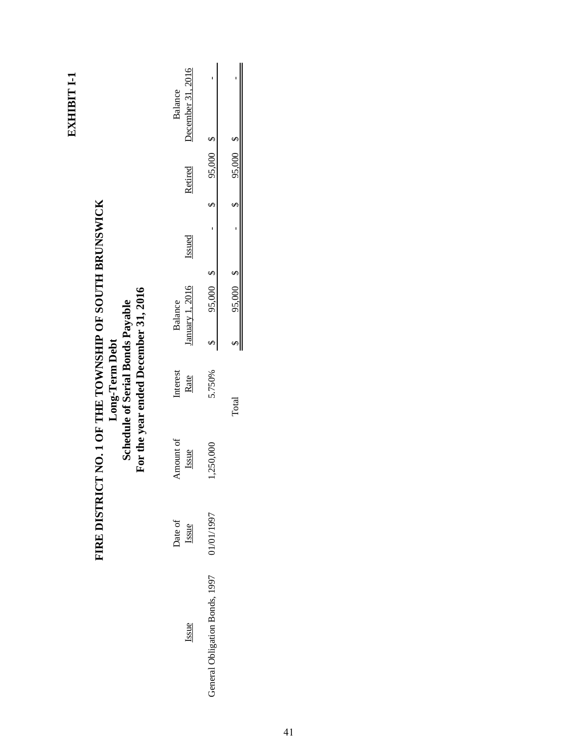|                                                                                                   | December 31, 2016<br>Balance |                                |           |
|---------------------------------------------------------------------------------------------------|------------------------------|--------------------------------|-----------|
|                                                                                                   | Retired                      | 95,000 \$                      | 95,000 \$ |
|                                                                                                   |                              |                                |           |
|                                                                                                   | Issued                       |                                |           |
|                                                                                                   |                              |                                |           |
|                                                                                                   | January 1, 2016<br>Balance   | 95,000 \$                      | 95,000 \$ |
|                                                                                                   |                              |                                |           |
| For the year ended December 31, 2016<br><b>Schedule of Serial Bonds Payable</b><br>Long-Term Debt | Interest<br>Rate             | 5.750%                         | Total     |
| FIRE DISTRICT NO. 1 OF THE TOWNSHIP OF SOUTH BRUNSWICK                                            | Amount of<br>Issue           | 1,250,000                      |           |
|                                                                                                   | Date of<br>Issue             | 01/01/1997                     |           |
|                                                                                                   | Issue                        | General Obligation Bonds, 1997 |           |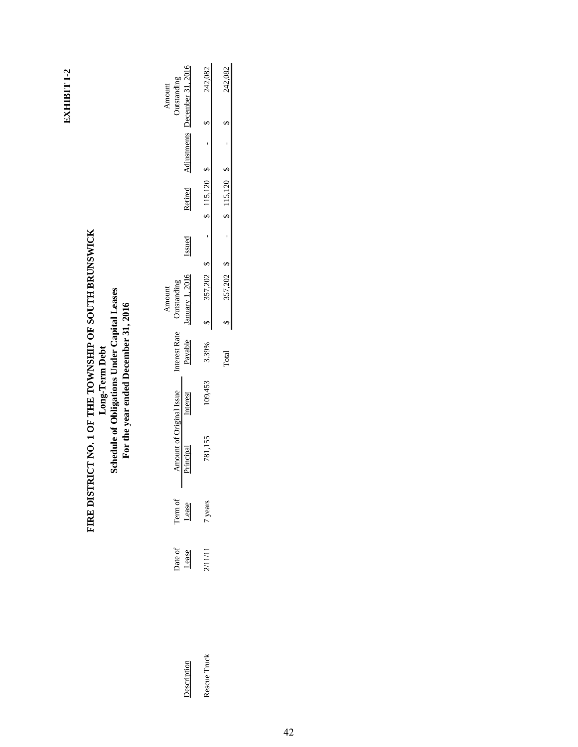# EXHIBIT I-2 **EXHIBIT I-2**

# FIRE DISTRICT NO. 1 OF THE TOWNSHIP OF SOUTH BRUNSWICK<br>Long-Term Debt<br>Schedule of Obligations Under Capital Leases<br>For the year ended December 31, 2016 **FIRE DISTRICT NO. 1 OF THE TOWNSHIP OF SOUTH BRUNSWICK Schedule of Obligations Under Capital Leases For the year ended December 31, 2016 Long-Term Debt**

|                    |                  |                  |                     |         |              | Amount             |        |         |            | Amount          |
|--------------------|------------------|------------------|---------------------|---------|--------------|--------------------|--------|---------|------------|-----------------|
|                    |                  |                  | mount of Original I |         | nterest Rate | <b>Outstanding</b> |        |         |            | utstanding      |
| <b>Description</b> | Date of<br>Lease | Term of<br>Lease |                     | nterest | Payable      | anuary 1, 201      | Issued | Retired | diustments | ecember 31, 201 |
| escue Truck        | 2/11/11          | 7 years          |                     | 09,453  | 3.39%        | 357,202            |        | 115.120 |            | 242,082         |
|                    |                  |                  |                     |         | Total        | 357,202            |        | 115,120 |            | 242.082         |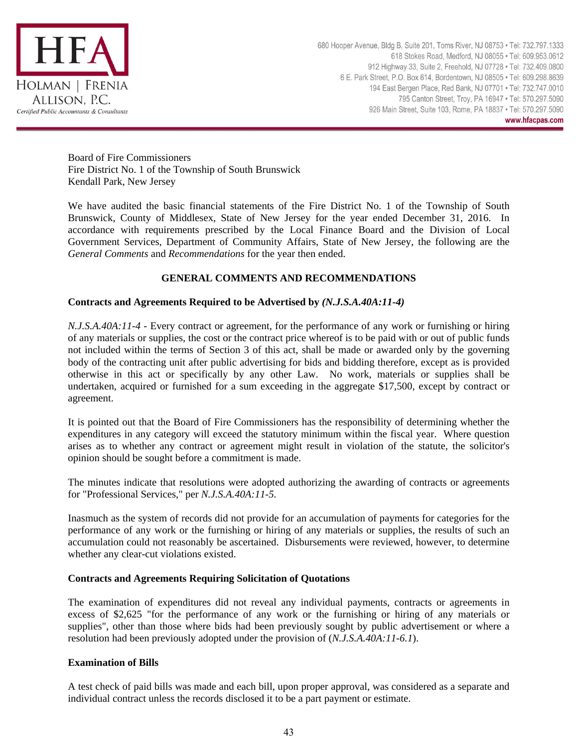

Board of Fire Commissioners Fire District No. 1 of the Township of South Brunswick Kendall Park, New Jersey

We have audited the basic financial statements of the Fire District No. 1 of the Township of South Brunswick, County of Middlesex, State of New Jersey for the year ended December 31, 2016. In accordance with requirements prescribed by the Local Finance Board and the Division of Local Government Services, Department of Community Affairs, State of New Jersey, the following are the *General Comments* and *Recommendations* for the year then ended.

# **GENERAL COMMENTS AND RECOMMENDATIONS**

# **Contracts and Agreements Required to be Advertised by** *(N.J.S.A.40A:11-4)*

*N.J.S.A.40A:11-4* - Every contract or agreement, for the performance of any work or furnishing or hiring of any materials or supplies, the cost or the contract price whereof is to be paid with or out of public funds not included within the terms of Section 3 of this act, shall be made or awarded only by the governing body of the contracting unit after public advertising for bids and bidding therefore, except as is provided otherwise in this act or specifically by any other Law. No work, materials or supplies shall be undertaken, acquired or furnished for a sum exceeding in the aggregate \$17,500, except by contract or agreement.

It is pointed out that the Board of Fire Commissioners has the responsibility of determining whether the expenditures in any category will exceed the statutory minimum within the fiscal year. Where question arises as to whether any contract or agreement might result in violation of the statute, the solicitor's opinion should be sought before a commitment is made.

The minutes indicate that resolutions were adopted authorizing the awarding of contracts or agreements for "Professional Services," per *N.J.S.A.40A:11-5.*

Inasmuch as the system of records did not provide for an accumulation of payments for categories for the performance of any work or the furnishing or hiring of any materials or supplies, the results of such an accumulation could not reasonably be ascertained. Disbursements were reviewed, however, to determine whether any clear-cut violations existed.

#### **Contracts and Agreements Requiring Solicitation of Quotations**

The examination of expenditures did not reveal any individual payments, contracts or agreements in excess of \$2,625 "for the performance of any work or the furnishing or hiring of any materials or supplies", other than those where bids had been previously sought by public advertisement or where a resolution had been previously adopted under the provision of (*N.J.S.A.40A:11-6.1*).

#### **Examination of Bills**

A test check of paid bills was made and each bill, upon proper approval, was considered as a separate and individual contract unless the records disclosed it to be a part payment or estimate.